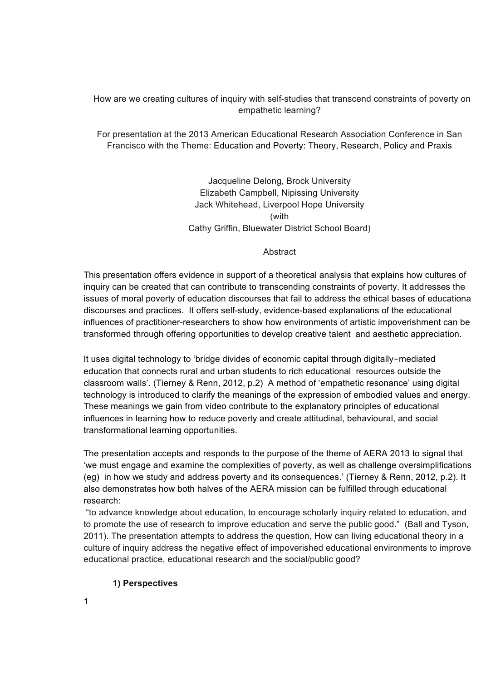How are we creating cultures of inquiry with self-studies that transcend constraints of poverty on empathetic learning?

For presentation at the 2013 American Educational Research Association Conference in San Francisco with the Theme: Education and Poverty: Theory, Research, Policy and Praxis

> Jacqueline Delong, Brock University Elizabeth Campbell, Nipissing University Jack Whitehead, Liverpool Hope University (with Cathy Griffin, Bluewater District School Board)

#### Abstract

This presentation offers evidence in support of a theoretical analysis that explains how cultures of inquiry can be created that can contribute to transcending constraints of poverty. It addresses the issues of moral poverty of education discourses that fail to address the ethical bases of educational discourses and practices. It offers self-study, evidence-based explanations of the educational influences of practitioner-researchers to show how environments of artistic impoverishment can be transformed through offering opportunities to develop creative talent and aesthetic appreciation.

It uses digital technology to 'bridge divides of economic capital through digitally‐mediated education that connects rural and urban students to rich educational resources outside the classroom walls'. (Tierney & Renn, 2012, p.2) A method of 'empathetic resonance' using digital technology is introduced to clarify the meanings of the expression of embodied values and energy. These meanings we gain from video contribute to the explanatory principles of educational influences in learning how to reduce poverty and create attitudinal, behavioural, and social transformational learning opportunities.

The presentation accepts and responds to the purpose of the theme of AERA 2013 to signal that 'we must engage and examine the complexities of poverty, as well as challenge oversimplifications (eg) in how we study and address poverty and its consequences.' (Tierney & Renn, 2012, p.2). It also demonstrates how both halves of the AERA mission can be fulfilled through educational research:

 "to advance knowledge about education, to encourage scholarly inquiry related to education, and to promote the use of research to improve education and serve the public good." (Ball and Tyson, 2011). The presentation attempts to address the question, How can living educational theory in a culture of inquiry address the negative effect of impoverished educational environments to improve educational practice, educational research and the social/public good?

#### **1) Perspectives**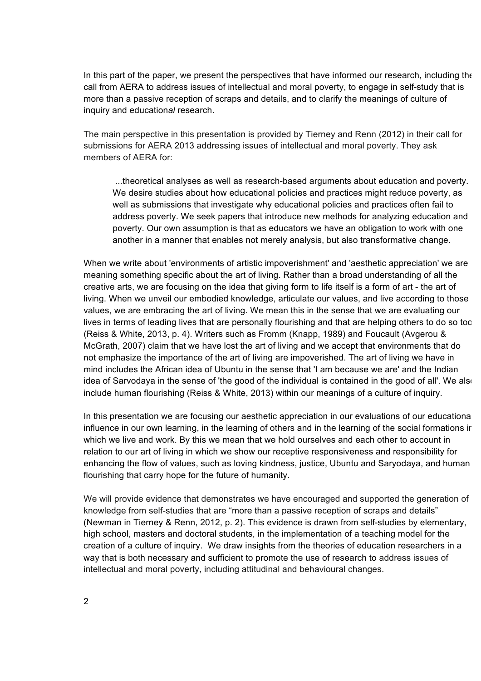In this part of the paper, we present the perspectives that have informed our research, including the call from AERA to address issues of intellectual and moral poverty, to engage in self-study that is more than a passive reception of scraps and details, and to clarify the meanings of culture of inquiry and education*al* research.

The main perspective in this presentation is provided by Tierney and Renn (2012) in their call for submissions for AERA 2013 addressing issues of intellectual and moral poverty. They ask members of AERA for:

 ...theoretical analyses as well as research-based arguments about education and poverty. We desire studies about how educational policies and practices might reduce poverty, as well as submissions that investigate why educational policies and practices often fail to address poverty. We seek papers that introduce new methods for analyzing education and poverty. Our own assumption is that as educators we have an obligation to work with one another in a manner that enables not merely analysis, but also transformative change.

When we write about 'environments of artistic impoverishment' and 'aesthetic appreciation' we are meaning something specific about the art of living. Rather than a broad understanding of all the creative arts, we are focusing on the idea that giving form to life itself is a form of art - the art of living. When we unveil our embodied knowledge, articulate our values, and live according to those values, we are embracing the art of living. We mean this in the sense that we are evaluating our lives in terms of leading lives that are personally flourishing and that are helping others to do so too (Reiss & White, 2013, p. 4). Writers such as Fromm (Knapp, 1989) and Foucault (Avgerou & McGrath, 2007) claim that we have lost the art of living and we accept that environments that do not emphasize the importance of the art of living are impoverished. The art of living we have in mind includes the African idea of Ubuntu in the sense that 'I am because we are' and the Indian idea of Sarvodaya in the sense of 'the good of the individual is contained in the good of all'. We also include human flourishing (Reiss & White, 2013) within our meanings of a culture of inquiry.

In this presentation we are focusing our aesthetic appreciation in our evaluations of our educational influence in our own learning, in the learning of others and in the learning of the social formations in which we live and work. By this we mean that we hold ourselves and each other to account in relation to our art of living in which we show our receptive responsiveness and responsibility for enhancing the flow of values, such as loving kindness, justice, Ubuntu and Saryodaya, and human flourishing that carry hope for the future of humanity.

We will provide evidence that demonstrates we have encouraged and supported the generation of knowledge from self-studies that are "more than a passive reception of scraps and details" (Newman in Tierney & Renn, 2012, p. 2). This evidence is drawn from self-studies by elementary, high school, masters and doctoral students, in the implementation of a teaching model for the creation of a culture of inquiry. We draw insights from the theories of education researchers in a way that is both necessary and sufficient to promote the use of research to address issues of intellectual and moral poverty, including attitudinal and behavioural changes.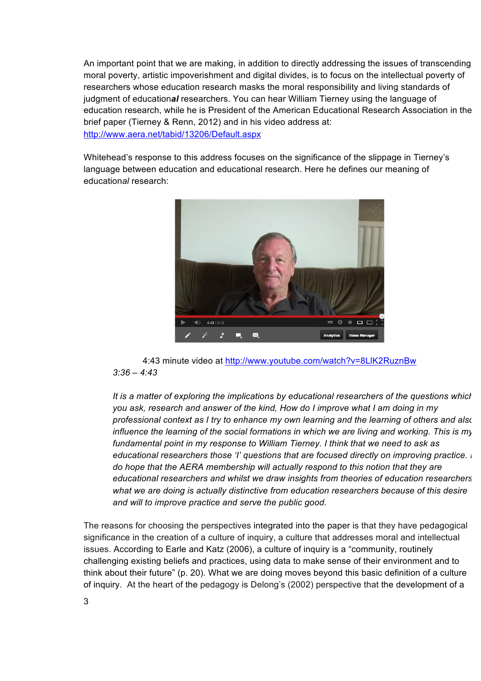An important point that we are making, in addition to directly addressing the issues of transcending moral poverty, artistic impoverishment and digital divides, is to focus on the intellectual poverty of researchers whose education research masks the moral responsibility and living standards of judgment of education*al* researchers. You can hear William Tierney using the language of education research, while he is President of the American Educational Research Association in the brief paper (Tierney & Renn, 2012) and in his video address at: http://www.aera.net/tabid/13206/Default.aspx

Whitehead's response to this address focuses on the significance of the slippage in Tierney's language between education and educational research. Here he defines our meaning of education*al* research:



4:43 minute video at http://www.youtube.com/watch?v=8LlK2RuznBw *3:36 – 4:43*

*It is a matter of exploring the implications by educational researchers of the questions which you ask, research and answer of the kind, How do I improve what I am doing in my professional context as I try to enhance my own learning and the learning of others and also influence the learning of the social formations in which we are living and working. This is my fundamental point in my response to William Tierney. I think that we need to ask as educational researchers those 'I' questions that are focused directly on improving practice. I do hope that the AERA membership will actually respond to this notion that they are educational researchers and whilst we draw insights from theories of education researchers what we are doing is actually distinctive from education researchers because of this desire and will to improve practice and serve the public good.*

The reasons for choosing the perspectives integrated into the paper is that they have pedagogical significance in the creation of a culture of inquiry, a culture that addresses moral and intellectual issues. According to Earle and Katz (2006), a culture of inquiry is a "community, routinely challenging existing beliefs and practices, using data to make sense of their environment and to think about their future" (p. 20). What we are doing moves beyond this basic definition of a culture of inquiry. At the heart of the pedagogy is Delong's (2002) perspective that the development of a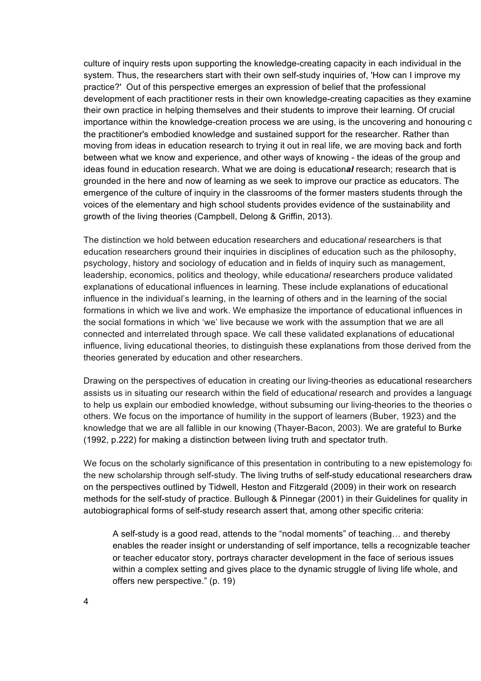culture of inquiry rests upon supporting the knowledge-creating capacity in each individual in the system. Thus, the researchers start with their own self-study inquiries of, 'How can I improve my practice?' Out of this perspective emerges an expression of belief that the professional development of each practitioner rests in their own knowledge-creating capacities as they examine their own practice in helping themselves and their students to improve their learning. Of crucial importance within the knowledge-creation process we are using, is the uncovering and honouring c the practitioner's embodied knowledge and sustained support for the researcher. Rather than moving from ideas in education research to trying it out in real life, we are moving back and forth between what we know and experience, and other ways of knowing - the ideas of the group and ideas found in education research. What we are doing is education*al* research; research that is grounded in the here and now of learning as we seek to improve our practice as educators. The emergence of the culture of inquiry in the classrooms of the former masters students through the voices of the elementary and high school students provides evidence of the sustainability and growth of the living theories (Campbell, Delong & Griffin, 2013).

The distinction we hold between education researchers and education*al* researchers is that education researchers ground their inquiries in disciplines of education such as the philosophy, psychology, history and sociology of education and in fields of inquiry such as management, leadership, economics, politics and theology, while education*al* researchers produce validated explanations of educational influences in learning. These include explanations of educational influence in the individual's learning, in the learning of others and in the learning of the social formations in which we live and work. We emphasize the importance of educational influences in the social formations in which 'we' live because we work with the assumption that we are all connected and interrelated through space. We call these validated explanations of educational influence, living educational theories, to distinguish these explanations from those derived from the theories generated by education and other researchers.

Drawing on the perspectives of education in creating our living-theories as educational researchers assists us in situating our research within the field of education*al* research and provides a language to help us explain our embodied knowledge, without subsuming our living-theories to the theories of others. We focus on the importance of humility in the support of learners (Buber, 1923) and the knowledge that we are all fallible in our knowing (Thayer-Bacon, 2003). We are grateful to Burke (1992, p.222) for making a distinction between living truth and spectator truth.

We focus on the scholarly significance of this presentation in contributing to a new epistemology for the new scholarship through self-study. The living truths of self-study educational researchers draw on the perspectives outlined by Tidwell, Heston and Fitzgerald (2009) in their work on research methods for the self-study of practice. Bullough & Pinnegar (2001) in their Guidelines for quality in autobiographical forms of self-study research assert that, among other specific criteria:

A self-study is a good read, attends to the "nodal moments" of teaching… and thereby enables the reader insight or understanding of self importance, tells a recognizable teacher or teacher educator story, portrays character development in the face of serious issues within a complex setting and gives place to the dynamic struggle of living life whole, and offers new perspective." (p. 19)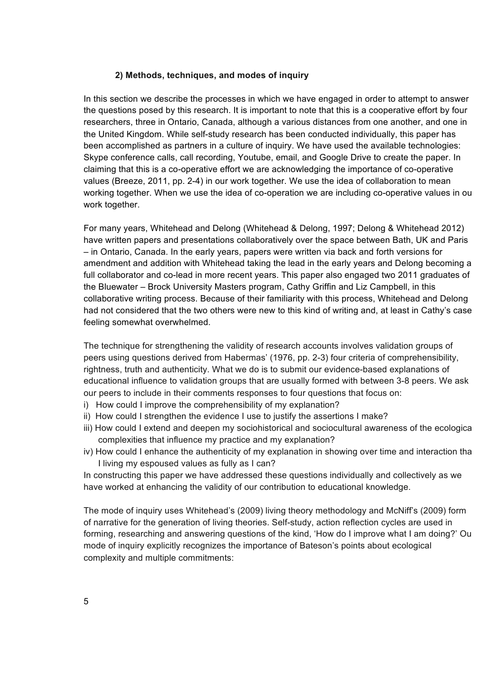### **2) Methods, techniques, and modes of inquiry**

In this section we describe the processes in which we have engaged in order to attempt to answer the questions posed by this research. It is important to note that this is a cooperative effort by four researchers, three in Ontario, Canada, although a various distances from one another, and one in the United Kingdom. While self-study research has been conducted individually, this paper has been accomplished as partners in a culture of inquiry. We have used the available technologies: Skype conference calls, call recording, Youtube, email, and Google Drive to create the paper. In claiming that this is a co-operative effort we are acknowledging the importance of co-operative values (Breeze, 2011, pp. 2-4) in our work together. We use the idea of collaboration to mean working together. When we use the idea of co-operation we are including co-operative values in our work together.

For many years, Whitehead and Delong (Whitehead & Delong, 1997; Delong & Whitehead 2012) have written papers and presentations collaboratively over the space between Bath, UK and Paris – in Ontario, Canada. In the early years, papers were written via back and forth versions for amendment and addition with Whitehead taking the lead in the early years and Delong becoming a full collaborator and co-lead in more recent years. This paper also engaged two 2011 graduates of the Bluewater – Brock University Masters program, Cathy Griffin and Liz Campbell, in this collaborative writing process. Because of their familiarity with this process, Whitehead and Delong had not considered that the two others were new to this kind of writing and, at least in Cathy's case feeling somewhat overwhelmed.

The technique for strengthening the validity of research accounts involves validation groups of peers using questions derived from Habermas' (1976, pp. 2-3) four criteria of comprehensibility, rightness, truth and authenticity. What we do is to submit our evidence-based explanations of educational influence to validation groups that are usually formed with between 3-8 peers. We ask our peers to include in their comments responses to four questions that focus on:

- i) How could I improve the comprehensibility of my explanation?
- ii) How could I strengthen the evidence I use to justify the assertions I make?
- iii) How could I extend and deepen my sociohistorical and sociocultural awareness of the ecologica complexities that influence my practice and my explanation?
- iv) How could I enhance the authenticity of my explanation in showing over time and interaction that I living my espoused values as fully as I can?

In constructing this paper we have addressed these questions individually and collectively as we have worked at enhancing the validity of our contribution to educational knowledge.

The mode of inquiry uses Whitehead's (2009) living theory methodology and McNiff's (2009) form of narrative for the generation of living theories. Self-study, action reflection cycles are used in forming, researching and answering questions of the kind, 'How do I improve what I am doing?' Our mode of inquiry explicitly recognizes the importance of Bateson's points about ecological complexity and multiple commitments: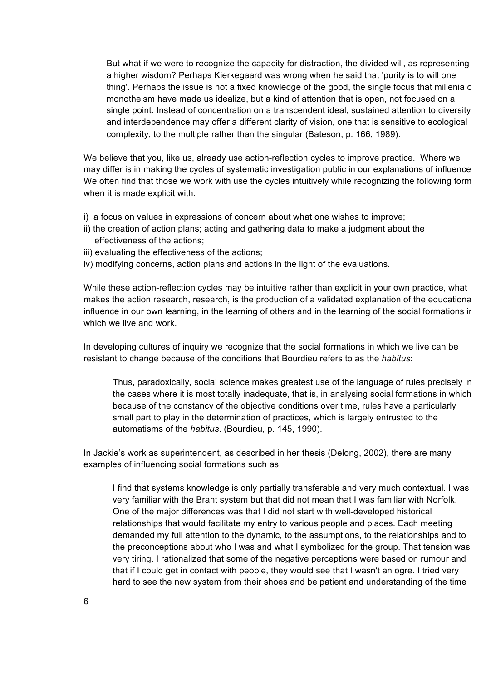But what if we were to recognize the capacity for distraction, the divided will, as representing a higher wisdom? Perhaps Kierkegaard was wrong when he said that 'purity is to will one thing'. Perhaps the issue is not a fixed knowledge of the good, the single focus that millenia of monotheism have made us idealize, but a kind of attention that is open, not focused on a single point. Instead of concentration on a transcendent ideal, sustained attention to diversity and interdependence may offer a different clarity of vision, one that is sensitive to ecological complexity, to the multiple rather than the singular (Bateson, p. 166, 1989).

We believe that you, like us, already use action-reflection cycles to improve practice. Where we may differ is in making the cycles of systematic investigation public in our explanations of influence. We often find that those we work with use the cycles intuitively while recognizing the following form when it is made explicit with:

- i) a focus on values in expressions of concern about what one wishes to improve;
- ii) the creation of action plans; acting and gathering data to make a judgment about the effectiveness of the actions;
- iii) evaluating the effectiveness of the actions;
- iv) modifying concerns, action plans and actions in the light of the evaluations.

While these action-reflection cycles may be intuitive rather than explicit in your own practice, what makes the action research, research, is the production of a validated explanation of the educational influence in our own learning, in the learning of others and in the learning of the social formations in which we live and work.

In developing cultures of inquiry we recognize that the social formations in which we live can be resistant to change because of the conditions that Bourdieu refers to as the *habitus*:

Thus, paradoxically, social science makes greatest use of the language of rules precisely in the cases where it is most totally inadequate, that is, in analysing social formations in which, because of the constancy of the objective conditions over time, rules have a particularly small part to play in the determination of practices, which is largely entrusted to the automatisms of the *habitus*. (Bourdieu, p. 145, 1990).

In Jackie's work as superintendent, as described in her thesis (Delong, 2002), there are many examples of influencing social formations such as:

I find that systems knowledge is only partially transferable and very much contextual. I was very familiar with the Brant system but that did not mean that I was familiar with Norfolk. One of the major differences was that I did not start with well-developed historical relationships that would facilitate my entry to various people and places. Each meeting demanded my full attention to the dynamic, to the assumptions, to the relationships and to the preconceptions about who I was and what I symbolized for the group. That tension was very tiring. I rationalized that some of the negative perceptions were based on rumour and that if I could get in contact with people, they would see that I wasn't an ogre. I tried very hard to see the new system from their shoes and be patient and understanding of the time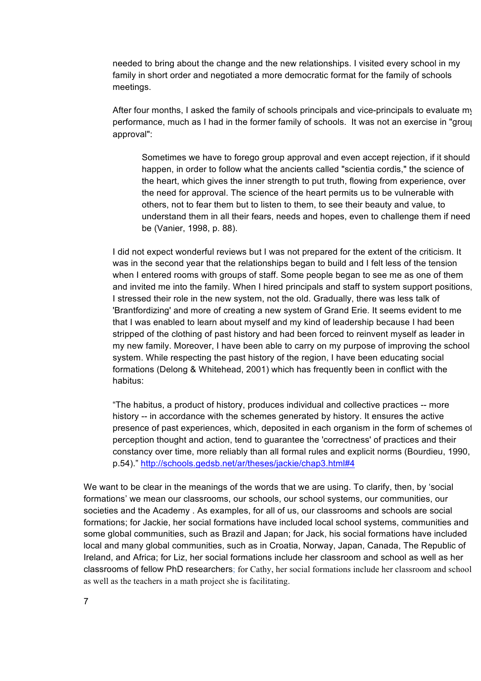needed to bring about the change and the new relationships. I visited every school in my family in short order and negotiated a more democratic format for the family of schools meetings.

After four months, I asked the family of schools principals and vice-principals to evaluate my performance, much as I had in the former family of schools. It was not an exercise in "group approval":

Sometimes we have to forego group approval and even accept rejection, if it should happen, in order to follow what the ancients called "scientia cordis," the science of the heart, which gives the inner strength to put truth, flowing from experience, over the need for approval. The science of the heart permits us to be vulnerable with others, not to fear them but to listen to them, to see their beauty and value, to understand them in all their fears, needs and hopes, even to challenge them if need be (Vanier, 1998, p. 88).

I did not expect wonderful reviews but I was not prepared for the extent of the criticism. It was in the second year that the relationships began to build and I felt less of the tension when I entered rooms with groups of staff. Some people began to see me as one of them and invited me into the family. When I hired principals and staff to system support positions, I stressed their role in the new system, not the old. Gradually, there was less talk of 'Brantfordizing' and more of creating a new system of Grand Erie. It seems evident to me that I was enabled to learn about myself and my kind of leadership because I had been stripped of the clothing of past history and had been forced to reinvent myself as leader in my new family. Moreover, I have been able to carry on my purpose of improving the school system. While respecting the past history of the region, I have been educating social formations (Delong & Whitehead, 2001) which has frequently been in conflict with the habitus:

"The habitus, a product of history, produces individual and collective practices -- more history -- in accordance with the schemes generated by history. It ensures the active presence of past experiences, which, deposited in each organism in the form of schemes of perception thought and action, tend to guarantee the 'correctness' of practices and their constancy over time, more reliably than all formal rules and explicit norms (Bourdieu, 1990, p.54)." http://schools.gedsb.net/ar/theses/jackie/chap3.html#4

We want to be clear in the meanings of the words that we are using. To clarify, then, by 'social formations' we mean our classrooms, our schools, our school systems, our communities, our societies and the Academy . As examples, for all of us, our classrooms and schools are social formations; for Jackie, her social formations have included local school systems, communities and some global communities, such as Brazil and Japan; for Jack, his social formations have included local and many global communities, such as in Croatia, Norway, Japan, Canada, The Republic of Ireland, and Africa; for Liz, her social formations include her classroom and school as well as her classrooms of fellow PhD researchers; for Cathy, her social formations include her classroom and school as well as the teachers in a math project she is facilitating.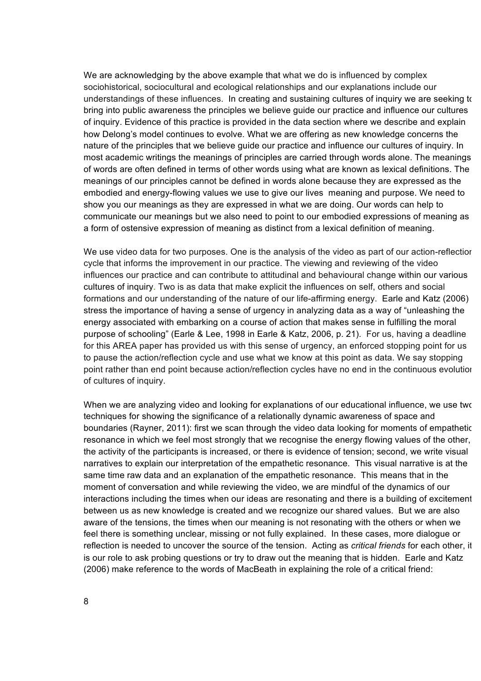We are acknowledging by the above example that what we do is influenced by complex sociohistorical, sociocultural and ecological relationships and our explanations include our understandings of these influences. In creating and sustaining cultures of inquiry we are seeking to bring into public awareness the principles we believe guide our practice and influence our cultures of inquiry. Evidence of this practice is provided in the data section where we describe and explain how Delong's model continues to evolve. What we are offering as new knowledge concerns the nature of the principles that we believe guide our practice and influence our cultures of inquiry. In most academic writings the meanings of principles are carried through words alone. The meanings of words are often defined in terms of other words using what are known as lexical definitions. The meanings of our principles cannot be defined in words alone because they are expressed as the embodied and energy-flowing values we use to give our lives meaning and purpose. We need to show you our meanings as they are expressed in what we are doing. Our words can help to communicate our meanings but we also need to point to our embodied expressions of meaning as a form of ostensive expression of meaning as distinct from a lexical definition of meaning.

We use video data for two purposes. One is the analysis of the video as part of our action-reflectior cycle that informs the improvement in our practice. The viewing and reviewing of the video influences our practice and can contribute to attitudinal and behavioural change within our various cultures of inquiry. Two is as data that make explicit the influences on self, others and social formations and our understanding of the nature of our life-affirming energy. Earle and Katz (2006) stress the importance of having a sense of urgency in analyzing data as a way of "unleashing the energy associated with embarking on a course of action that makes sense in fulfilling the moral purpose of schooling" (Earle & Lee, 1998 in Earle & Katz, 2006, p. 21). For us, having a deadline for this AREA paper has provided us with this sense of urgency, an enforced stopping point for us to pause the action/reflection cycle and use what we know at this point as data. We say stopping point rather than end point because action/reflection cycles have no end in the continuous evolution of cultures of inquiry.

When we are analyzing video and looking for explanations of our educational influence, we use two techniques for showing the significance of a relationally dynamic awareness of space and boundaries (Rayner, 2011): first we scan through the video data looking for moments of empathetic resonance in which we feel most strongly that we recognise the energy flowing values of the other, the activity of the participants is increased, or there is evidence of tension; second, we write visual narratives to explain our interpretation of the empathetic resonance. This visual narrative is at the same time raw data and an explanation of the empathetic resonance. This means that in the moment of conversation and while reviewing the video, we are mindful of the dynamics of our interactions including the times when our ideas are resonating and there is a building of excitement between us as new knowledge is created and we recognize our shared values. But we are also aware of the tensions, the times when our meaning is not resonating with the others or when we feel there is something unclear, missing or not fully explained. In these cases, more dialogue or reflection is needed to uncover the source of the tension. Acting as *critical friends* for each other, it is our role to ask probing questions or try to draw out the meaning that is hidden. Earle and Katz (2006) make reference to the words of MacBeath in explaining the role of a critical friend: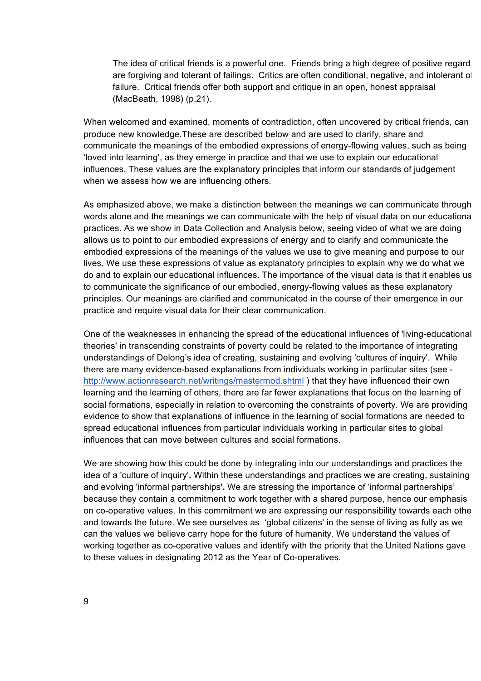The idea of critical friends is a powerful one. Friends bring a high degree of positive regard, are forgiving and tolerant of failings. Critics are often conditional, negative, and intolerant of failure. Critical friends offer both support and critique in an open, honest appraisal (MacBeath, 1998) (p.21).

When welcomed and examined, moments of contradiction, often uncovered by critical friends, can produce new knowledge.These are described below and are used to clarify, share and communicate the meanings of the embodied expressions of energy-flowing values, such as being 'loved into learning', as they emerge in practice and that we use to explain our educational influences. These values are the explanatory principles that inform our standards of judgement when we assess how we are influencing others.

As emphasized above, we make a distinction between the meanings we can communicate through words alone and the meanings we can communicate with the help of visual data on our educational practices. As we show in Data Collection and Analysis below, seeing video of what we are doing allows us to point to our embodied expressions of energy and to clarify and communicate the embodied expressions of the meanings of the values we use to give meaning and purpose to our lives. We use these expressions of value as explanatory principles to explain why we do what we do and to explain our educational influences. The importance of the visual data is that it enables us to communicate the significance of our embodied, energy-flowing values as these explanatory principles. Our meanings are clarified and communicated in the course of their emergence in our practice and require visual data for their clear communication.

One of the weaknesses in enhancing the spread of the educational influences of 'living-educationaltheories' in transcending constraints of poverty could be related to the importance of integrating understandings of Delong's idea of creating, sustaining and evolving 'cultures of inquiry'. While there are many evidence-based explanations from individuals working in particular sites (see http://www.actionresearch.net/writings/mastermod.shtml ) that they have influenced their own learning and the learning of others, there are far fewer explanations that focus on the learning of social formations, especially in relation to overcoming the constraints of poverty. We are providing evidence to show that explanations of influence in the learning of social formations are needed to spread educational influences from particular individuals working in particular sites to global influences that can move between cultures and social formations.

We are showing how this could be done by integrating into our understandings and practices the idea of a 'culture of inquiry'**.** Within these understandings and practices we are creating, sustaining and evolving 'informal partnerships'**.** We are stressing the importance of 'informal partnerships' because they contain a commitment to work together with a shared purpose, hence our emphasis on co-operative values. In this commitment we are expressing our responsibility towards each other and towards the future. We see ourselves as 'global citizens' in the sense of living as fully as we can the values we believe carry hope for the future of humanity. We understand the values of working together as co-operative values and identify with the priority that the United Nations gave to these values in designating 2012 as the Year of Co-operatives.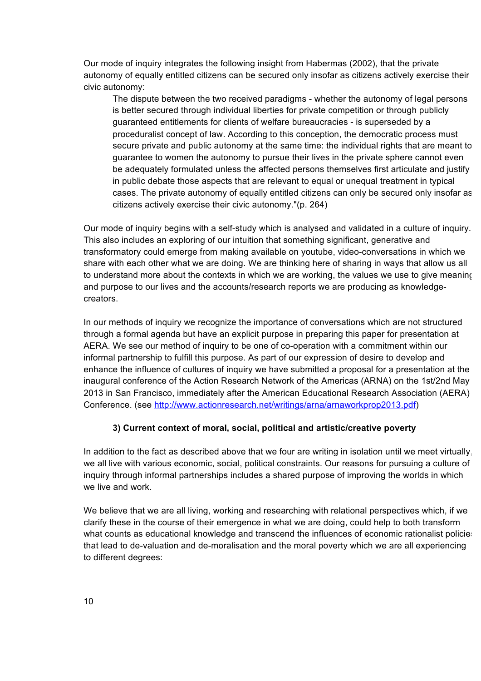Our mode of inquiry integrates the following insight from Habermas (2002), that the private autonomy of equally entitled citizens can be secured only insofar as citizens actively exercise their civic autonomy:

The dispute between the two received paradigms - whether the autonomy of legal persons is better secured through individual liberties for private competition or through publicly guaranteed entitlements for clients of welfare bureaucracies - is superseded by a proceduralist concept of law. According to this conception, the democratic process must secure private and public autonomy at the same time: the individual rights that are meant to guarantee to women the autonomy to pursue their lives in the private sphere cannot even be adequately formulated unless the affected persons themselves first articulate and justify in public debate those aspects that are relevant to equal or unequal treatment in typical cases. The private autonomy of equally entitled citizens can only be secured only insofar as citizens actively exercise their civic autonomy."(p. 264)

Our mode of inquiry begins with a self-study which is analysed and validated in a culture of inquiry. This also includes an exploring of our intuition that something significant, generative and transformatory could emerge from making available on youtube, video-conversations in which we share with each other what we are doing. We are thinking here of sharing in ways that allow us all to understand more about the contexts in which we are working, the values we use to give meaning and purpose to our lives and the accounts/research reports we are producing as knowledgecreators.

In our methods of inquiry we recognize the importance of conversations which are not structured through a formal agenda but have an explicit purpose in preparing this paper for presentation at AERA. We see our method of inquiry to be one of co-operation with a commitment within our informal partnership to fulfill this purpose. As part of our expression of desire to develop and enhance the influence of cultures of inquiry we have submitted a proposal for a presentation at the inaugural conference of the Action Research Network of the Americas (ARNA) on the 1st/2nd May 2013 in San Francisco, immediately after the American Educational Research Association (AERA) Conference. (see http://www.actionresearch.net/writings/arna/arnaworkprop2013.pdf)

### **3) Current context of moral, social, political and artistic/creative poverty**

In addition to the fact as described above that we four are writing in isolation until we meet virtually, we all live with various economic, social, political constraints. Our reasons for pursuing a culture of inquiry through informal partnerships includes a shared purpose of improving the worlds in which we live and work.

We believe that we are all living, working and researching with relational perspectives which, if we clarify these in the course of their emergence in what we are doing, could help to both transform what counts as educational knowledge and transcend the influences of economic rationalist policies that lead to de-valuation and de-moralisation and the moral poverty which we are all experiencing to different degrees: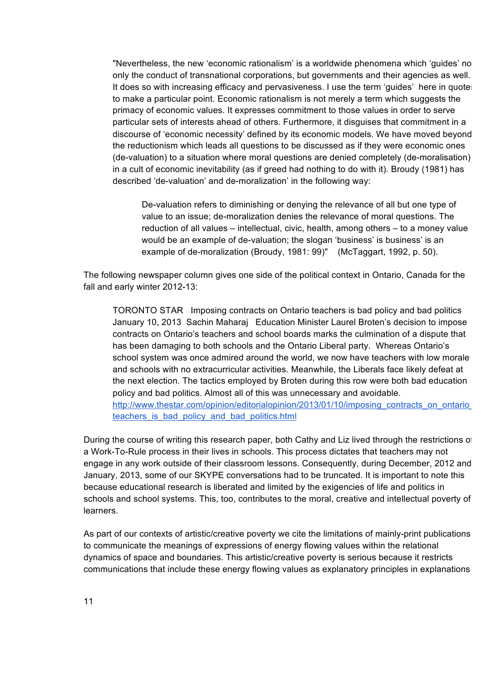"Nevertheless, the new 'economic rationalism' is a worldwide phenomena which 'guides' not only the conduct of transnational corporations, but governments and their agencies as well. It does so with increasing efficacy and pervasiveness. I use the term 'quides' here in quotes to make a particular point. Economic rationalism is not merely a term which suggests the primacy of economic values. It expresses commitment to those values in order to serve particular sets of interests ahead of others. Furthermore, it disguises that commitment in a discourse of 'economic necessity' defined by its economic models. We have moved beyond the reductionism which leads all questions to be discussed as if they were economic ones (de-valuation) to a situation where moral questions are denied completely (de-moralisation) in a cult of economic inevitability (as if greed had nothing to do with it). Broudy (1981) has described 'de-valuation' and de-moralization' in the following way:

De-valuation refers to diminishing or denying the relevance of all but one type of value to an issue; de-moralization denies the relevance of moral questions. The reduction of all values – intellectual, civic, health, among others – to a money value would be an example of de-valuation; the slogan 'business' is business' is an example of de-moralization (Broudy, 1981: 99)" (McTaggart, 1992, p. 50).

The following newspaper column gives one side of the political context in Ontario, Canada for the fall and early winter 2012-13:

TORONTO STAR Imposing contracts on Ontario teachers is bad policy and bad politics January 10, 2013 Sachin Maharaj Education Minister Laurel Broten's decision to impose contracts on Ontario's teachers and school boards marks the culmination of a dispute that has been damaging to both schools and the Ontario Liberal party. Whereas Ontario's school system was once admired around the world, we now have teachers with low morale and schools with no extracurricular activities. Meanwhile, the Liberals face likely defeat at the next election. The tactics employed by Broten during this row were both bad education policy and bad politics. Almost all of this was unnecessary and avoidable. http://www.thestar.com/opinion/editorialopinion/2013/01/10/imposing\_contracts\_on\_ontario teachers is bad policy and bad politics.html

During the course of writing this research paper, both Cathy and Liz lived through the restrictions of a Work-To-Rule process in their lives in schools. This process dictates that teachers may not engage in any work outside of their classroom lessons. Consequently, during December, 2012 and January, 2013, some of our SKYPE conversations had to be truncated. It is important to note this because educational research is liberated and limited by the exigencies of life and politics in schools and school systems. This, too, contributes to the moral, creative and intellectual poverty of learners.

As part of our contexts of artistic/creative poverty we cite the limitations of mainly-print publications to communicate the meanings of expressions of energy flowing values within the relational dynamics of space and boundaries. This artistic/creative poverty is serious because it restricts communications that include these energy flowing values as explanatory principles in explanations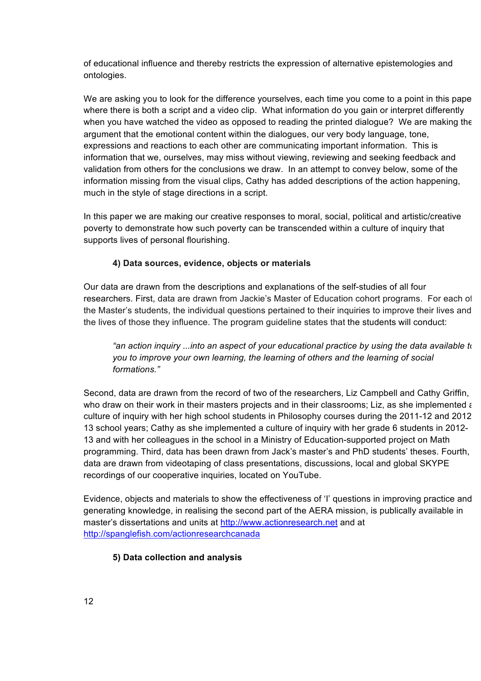of educational influence and thereby restricts the expression of alternative epistemologies and ontologies.

We are asking you to look for the difference yourselves, each time you come to a point in this pape where there is both a script and a video clip. What information do you gain or interpret differently when you have watched the video as opposed to reading the printed dialogue? We are making the argument that the emotional content within the dialogues, our very body language, tone, expressions and reactions to each other are communicating important information. This is information that we, ourselves, may miss without viewing, reviewing and seeking feedback and validation from others for the conclusions we draw. In an attempt to convey below, some of the information missing from the visual clips, Cathy has added descriptions of the action happening, much in the style of stage directions in a script.

In this paper we are making our creative responses to moral, social, political and artistic/creative poverty to demonstrate how such poverty can be transcended within a culture of inquiry that supports lives of personal flourishing.

### **4) Data sources, evidence, objects or materials**

Our data are drawn from the descriptions and explanations of the self-studies of all four researchers. First, data are drawn from Jackie's Master of Education cohort programs. For each of the Master's students, the individual questions pertained to their inquiries to improve their lives and the lives of those they influence. The program guideline states that the students will conduct:

*"an action inquiry ...into an aspect of your educational practice by using the data available to you to improve your own learning, the learning of others and the learning of social formations."* 

Second, data are drawn from the record of two of the researchers, Liz Campbell and Cathy Griffin, who draw on their work in their masters projects and in their classrooms; Liz, as she implemented a culture of inquiry with her high school students in Philosophy courses during the 2011-12 and 2012- 13 school years; Cathy as she implemented a culture of inquiry with her grade 6 students in 2012- 13 and with her colleagues in the school in a Ministry of Education-supported project on Math programming. Third, data has been drawn from Jack's master's and PhD students' theses. Fourth, data are drawn from videotaping of class presentations, discussions, local and global SKYPE recordings of our cooperative inquiries, located on YouTube.

Evidence, objects and materials to show the effectiveness of 'I' questions in improving practice and generating knowledge, in realising the second part of the AERA mission, is publically available in master's dissertations and units at http://www.actionresearch.net and at http://spanglefish.com/actionresearchcanada

### **5) Data collection and analysis**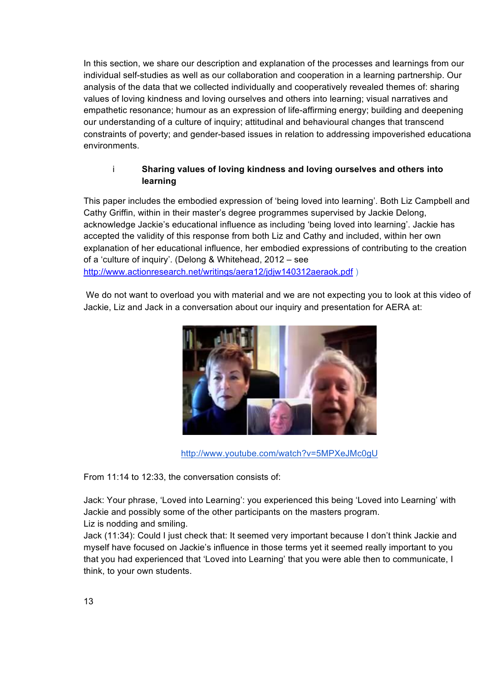In this section, we share our description and explanation of the processes and learnings from our individual self-studies as well as our collaboration and cooperation in a learning partnership. Our analysis of the data that we collected individually and cooperatively revealed themes of: sharing values of loving kindness and loving ourselves and others into learning; visual narratives and empathetic resonance; humour as an expression of life-affirming energy; building and deepening our understanding of a culture of inquiry; attitudinal and behavioural changes that transcend constraints of poverty; and gender-based issues in relation to addressing impoverished educational environments.

### i **Sharing values of loving kindness and loving ourselves and others into learning**

This paper includes the embodied expression of 'being loved into learning'. Both Liz Campbell and Cathy Griffin, within in their master's degree programmes supervised by Jackie Delong, acknowledge Jackie's educational influence as including 'being loved into learning'. Jackie has accepted the validity of this response from both Liz and Cathy and included, within her own explanation of her educational influence, her embodied expressions of contributing to the creation of a 'culture of inquiry'. (Delong & Whitehead, 2012 – see http://www.actionresearch.net/writings/aera12/jdjw140312aeraok.pdf)

We do not want to overload you with material and we are not expecting you to look at this video of Jackie, Liz and Jack in a conversation about our inquiry and presentation for AERA at:



http://www.youtube.com/watch?v=5MPXeJMc0gU

From 11:14 to 12:33, the conversation consists of:

Jack: Your phrase, 'Loved into Learning': you experienced this being 'Loved into Learning' with Jackie and possibly some of the other participants on the masters program. Liz is nodding and smiling.

Jack (11:34): Could I just check that: It seemed very important because I don't think Jackie and myself have focused on Jackie's influence in those terms yet it seemed really important to you that you had experienced that 'Loved into Learning' that you were able then to communicate, I think, to your own students.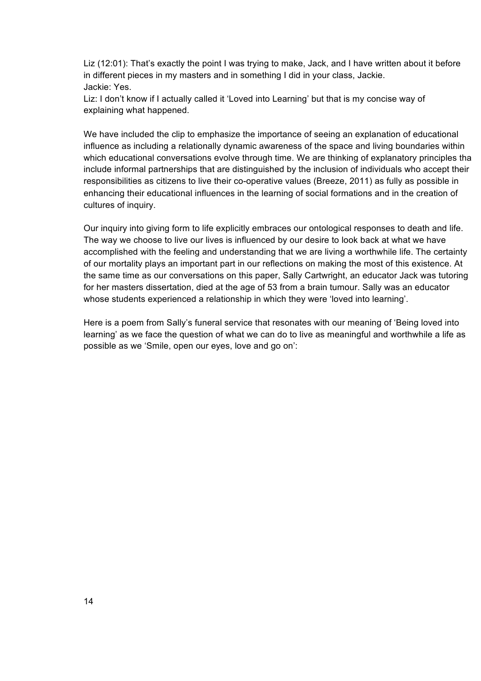Liz (12:01): That's exactly the point I was trying to make, Jack, and I have written about it before in different pieces in my masters and in something I did in your class, Jackie. Jackie: Yes.

Liz: I don't know if I actually called it 'Loved into Learning' but that is my concise way of explaining what happened.

We have included the clip to emphasize the importance of seeing an explanation of educational influence as including a relationally dynamic awareness of the space and living boundaries within which educational conversations evolve through time. We are thinking of explanatory principles tha include informal partnerships that are distinguished by the inclusion of individuals who accept their responsibilities as citizens to live their co-operative values (Breeze, 2011) as fully as possible in enhancing their educational influences in the learning of social formations and in the creation of cultures of inquiry.

Our inquiry into giving form to life explicitly embraces our ontological responses to death and life. The way we choose to live our lives is influenced by our desire to look back at what we have accomplished with the feeling and understanding that we are living a worthwhile life. The certainty of our mortality plays an important part in our reflections on making the most of this existence. At the same time as our conversations on this paper, Sally Cartwright, an educator Jack was tutoring for her masters dissertation, died at the age of 53 from a brain tumour. Sally was an educator whose students experienced a relationship in which they were 'loved into learning'.

Here is a poem from Sally's funeral service that resonates with our meaning of 'Being loved into learning' as we face the question of what we can do to live as meaningful and worthwhile a life as possible as we 'Smile, open our eyes, love and go on':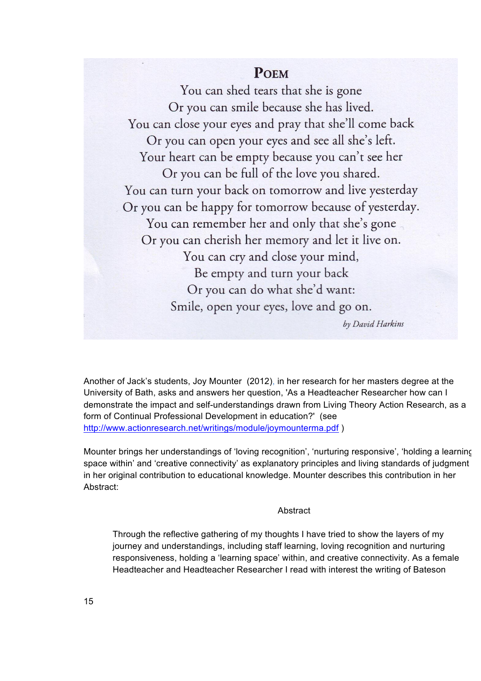## **POEM**

You can shed tears that she is gone Or you can smile because she has lived. You can close your eyes and pray that she'll come back Or you can open your eyes and see all she's left. Your heart can be empty because you can't see her Or you can be full of the love you shared. You can turn your back on tomorrow and live yesterday Or you can be happy for tomorrow because of yesterday. You can remember her and only that she's gone Or you can cherish her memory and let it live on. You can cry and close your mind, Be empty and turn your back Or you can do what she'd want: Smile, open your eyes, love and go on. by David Harkins

Another of Jack's students, Joy Mounter (2012), in her research for her masters degree at the University of Bath, asks and answers her question, 'As a Headteacher Researcher how can I demonstrate the impact and self-understandings drawn from Living Theory Action Research, as a form of Continual Professional Development in education?' (see http://www.actionresearch.net/writings/module/joymounterma.pdf)

Mounter brings her understandings of 'loving recognition', 'nurturing responsive', 'holding a learning space within' and 'creative connectivity' as explanatory principles and living standards of judgment in her original contribution to educational knowledge. Mounter describes this contribution in her Abstract:

#### **Abstract**

Through the reflective gathering of my thoughts I have tried to show the layers of my journey and understandings, including staff learning, loving recognition and nurturing responsiveness, holding a 'learning space' within, and creative connectivity. As a female Headteacher and Headteacher Researcher I read with interest the writing of Bateson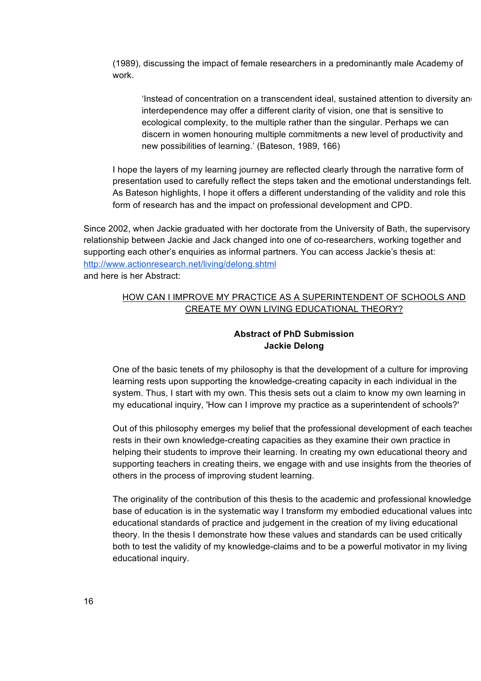(1989), discussing the impact of female researchers in a predominantly male Academy of work.

'Instead of concentration on a transcendent ideal, sustained attention to diversity and interdependence may offer a different clarity of vision, one that is sensitive to ecological complexity, to the multiple rather than the singular. Perhaps we can discern in women honouring multiple commitments a new level of productivity and new possibilities of learning.' (Bateson, 1989, 166)

I hope the layers of my learning journey are reflected clearly through the narrative form of presentation used to carefully reflect the steps taken and the emotional understandings felt. As Bateson highlights, I hope it offers a different understanding of the validity and role this form of research has and the impact on professional development and CPD.

Since 2002, when Jackie graduated with her doctorate from the University of Bath, the supervisory relationship between Jackie and Jack changed into one of co-researchers, working together and supporting each other's enquiries as informal partners. You can access Jackie's thesis at: http://www.actionresearch.net/living/delong.shtml and here is her Abstract:

### HOW CAN I IMPROVE MY PRACTICE AS A SUPERINTENDENT OF SCHOOLS AND CREATE MY OWN LIVING EDUCATIONAL THEORY?

### **Abstract of PhD Submission Jackie Delong**

One of the basic tenets of my philosophy is that the development of a culture for improving learning rests upon supporting the knowledge-creating capacity in each individual in the system. Thus, I start with my own. This thesis sets out a claim to know my own learning in my educational inquiry, 'How can I improve my practice as a superintendent of schools?'

Out of this philosophy emerges my belief that the professional development of each teacher rests in their own knowledge-creating capacities as they examine their own practice in helping their students to improve their learning. In creating my own educational theory and supporting teachers in creating theirs, we engage with and use insights from the theories of others in the process of improving student learning.

The originality of the contribution of this thesis to the academic and professional knowledgebase of education is in the systematic way I transform my embodied educational values into educational standards of practice and judgement in the creation of my living educational theory. In the thesis I demonstrate how these values and standards can be used critically both to test the validity of my knowledge-claims and to be a powerful motivator in my living educational inquiry.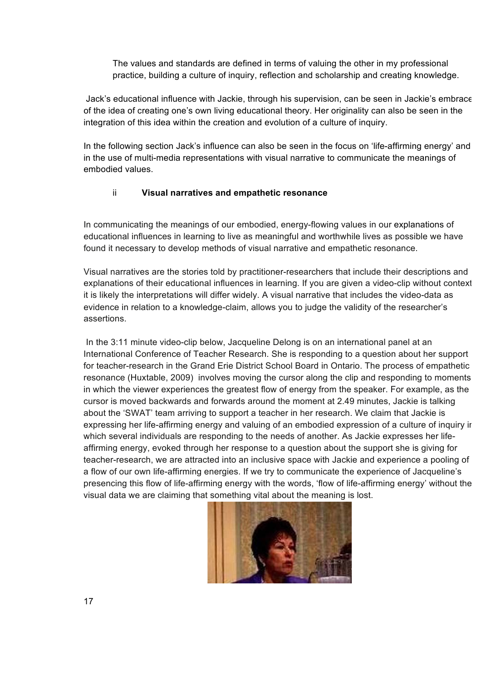The values and standards are defined in terms of valuing the other in my professional practice, building a culture of inquiry, reflection and scholarship and creating knowledge.

Jack's educational influence with Jackie, through his supervision, can be seen in Jackie's embrace of the idea of creating one's own living educational theory. Her originality can also be seen in the integration of this idea within the creation and evolution of a culture of inquiry.

In the following section Jack's influence can also be seen in the focus on 'life-affirming energy' and in the use of multi-media representations with visual narrative to communicate the meanings of embodied values.

### ii **Visual narratives and empathetic resonance**

In communicating the meanings of our embodied, energy-flowing values in our explanations of educational influences in learning to live as meaningful and worthwhile lives as possible we have found it necessary to develop methods of visual narrative and empathetic resonance.

Visual narratives are the stories told by practitioner-researchers that include their descriptions and explanations of their educational influences in learning. If you are given a video-clip without context it is likely the interpretations will differ widely. A visual narrative that includes the video-data as evidence in relation to a knowledge-claim, allows you to judge the validity of the researcher's assertions.

 In the 3:11 minute video-clip below, Jacqueline Delong is on an international panel at an International Conference of Teacher Research. She is responding to a question about her support for teacher-research in the Grand Erie District School Board in Ontario. The process of empathetic resonance (Huxtable, 2009) involves moving the cursor along the clip and responding to moments in which the viewer experiences the greatest flow of energy from the speaker. For example, as the cursor is moved backwards and forwards around the moment at 2.49 minutes, Jackie is talking about the 'SWAT' team arriving to support a teacher in her research. We claim that Jackie is expressing her life-affirming energy and valuing of an embodied expression of a culture of inquiry in which several individuals are responding to the needs of another. As Jackie expresses her lifeaffirming energy, evoked through her response to a question about the support she is giving for teacher-research, we are attracted into an inclusive space with Jackie and experience a pooling of a flow of our own life-affirming energies. If we try to communicate the experience of Jacqueline's presencing this flow of life-affirming energy with the words, 'flow of life-affirming energy' without the visual data we are claiming that something vital about the meaning is lost.

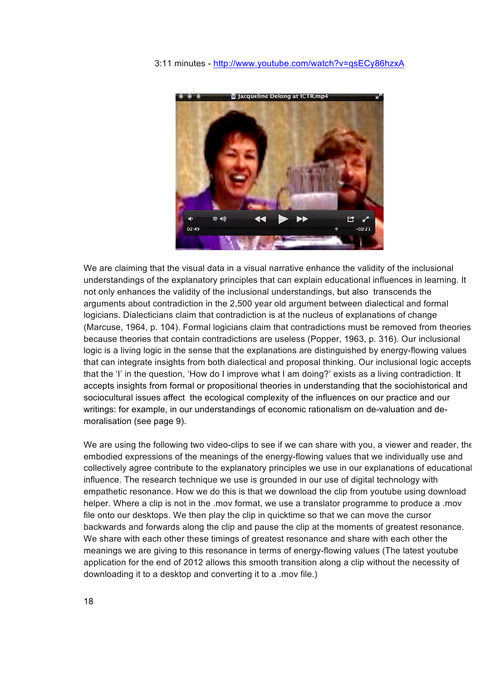#### 3:11 minutes - http://www.youtube.com/watch?v=qsECy86hzxA



We are claiming that the visual data in a visual narrative enhance the validity of the inclusional understandings of the explanatory principles that can explain educational influences in learning. It not only enhances the validity of the inclusional understandings, but also transcends the arguments about contradiction in the 2,500 year old argument between dialectical and formal logicians. Dialecticians claim that contradiction is at the nucleus of explanations of change (Marcuse, 1964, p. 104). Formal logicians claim that contradictions must be removed from theories because theories that contain contradictions are useless (Popper, 1963, p. 316). Our inclusional logic is a living logic in the sense that the explanations are distinguished by energy-flowing values that can integrate insights from both dialectical and proposal thinking. Our inclusional logic accepts that the 'I' in the question, 'How do I improve what I am doing?' exists as a living contradiction. It accepts insights from formal or propositional theories in understanding that the sociohistorical and sociocultural issues affect the ecological complexity of the influences on our practice and our writings: for example, in our understandings of economic rationalism on de-valuation and demoralisation (see page 9).

We are using the following two video-clips to see if we can share with you, a viewer and reader, the embodied expressions of the meanings of the energy-flowing values that we individually use and collectively agree contribute to the explanatory principles we use in our explanations of educational influence. The research technique we use is grounded in our use of digital technology with empathetic resonance. How we do this is that we download the clip from youtube using download helper. Where a clip is not in the .mov format, we use a translator programme to produce a .mov file onto our desktops. We then play the clip in quicktime so that we can move the cursor backwards and forwards along the clip and pause the clip at the moments of greatest resonance. We share with each other these timings of greatest resonance and share with each other the meanings we are giving to this resonance in terms of energy-flowing values (The latest youtube application for the end of 2012 allows this smooth transition along a clip without the necessity of downloading it to a desktop and converting it to a .mov file.)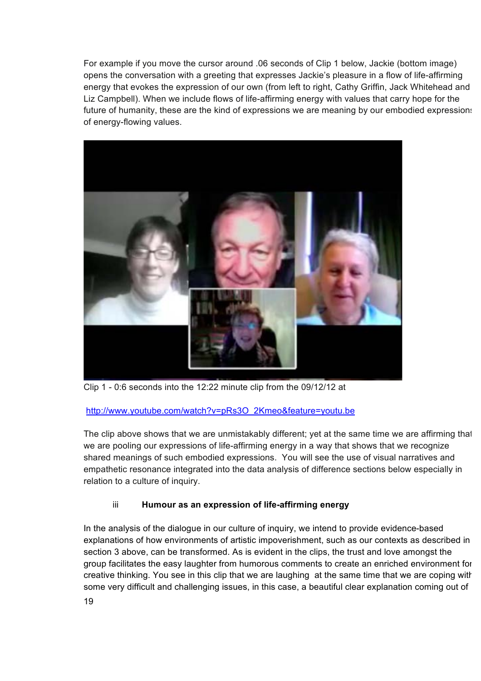For example if you move the cursor around .06 seconds of Clip 1 below, Jackie (bottom image) opens the conversation with a greeting that expresses Jackie's pleasure in a flow of life-affirming energy that evokes the expression of our own (from left to right, Cathy Griffin, Jack Whitehead and Liz Campbell). When we include flows of life-affirming energy with values that carry hope for the future of humanity, these are the kind of expressions we are meaning by our embodied expressions of energy-flowing values.



Clip 1 - 0:6 seconds into the 12:22 minute clip from the 09/12/12 at

### http://www.youtube.com/watch?v=pRs3O\_2Kmeo&feature=youtu.be

The clip above shows that we are unmistakably different; yet at the same time we are affirming that we are pooling our expressions of life-affirming energy in a way that shows that we recognize shared meanings of such embodied expressions. You will see the use of visual narratives and empathetic resonance integrated into the data analysis of difference sections below especially in relation to a culture of inquiry.

### iii **Humour as an expression of life-affirming energy**

In the analysis of the dialogue in our culture of inquiry, we intend to provide evidence-based explanations of how environments of artistic impoverishment, such as our contexts as described in section 3 above, can be transformed. As is evident in the clips, the trust and love amongst the group facilitates the easy laughter from humorous comments to create an enriched environment for creative thinking. You see in this clip that we are laughing at the same time that we are coping with some very difficult and challenging issues, in this case, a beautiful clear explanation coming out of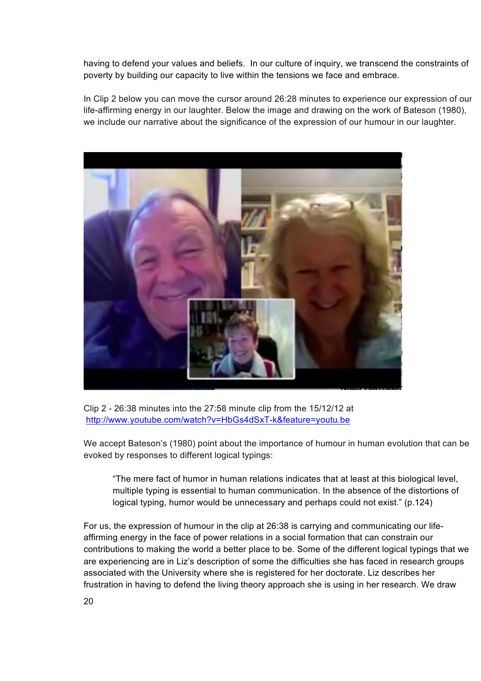having to defend your values and beliefs. In our culture of inquiry, we transcend the constraints of poverty by building our capacity to live within the tensions we face and embrace.

In Clip 2 below you can move the cursor around 26:28 minutes to experience our expression of our life-affirming energy in our laughter. Below the image and drawing on the work of Bateson (1980), we include our narrative about the significance of the expression of our humour in our laughter.



Clip 2 - 26:38 minutes into the 27:58 minute clip from the 15/12/12 at http://www.youtube.com/watch?v=HbGs4dSxT-k&feature=youtu.be

We accept Bateson's (1980) point about the importance of humour in human evolution that can be evoked by responses to different logical typings:

"The mere fact of humor in human relations indicates that at least at this biological level, multiple typing is essential to human communication. In the absence of the distortions of logical typing, humor would be unnecessary and perhaps could not exist." (p.124)

For us, the expression of humour in the clip at 26:38 is carrying and communicating our lifeaffirming energy in the face of power relations in a social formation that can constrain our contributions to making the world a better place to be. Some of the different logical typings that we are experiencing are in Liz's description of some the difficulties she has faced in research groups associated with the University where she is registered for her doctorate. Liz describes her frustration in having to defend the living theory approach she is using in her research. We draw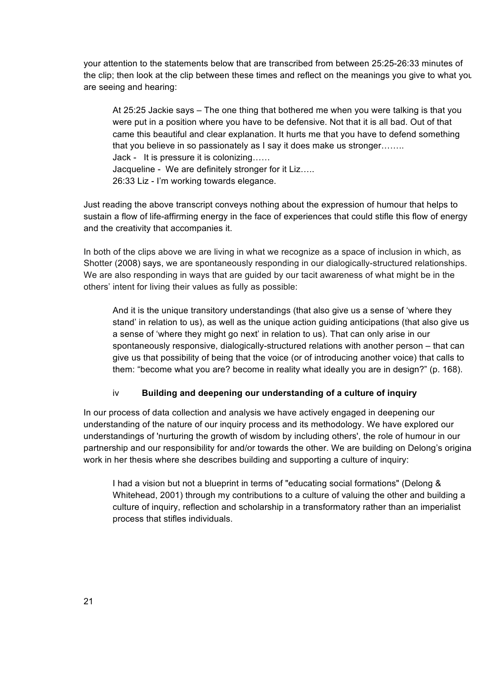your attention to the statements below that are transcribed from between 25:25-26:33 minutes of the clip; then look at the clip between these times and reflect on the meanings you give to what you are seeing and hearing:

At 25:25 Jackie says – The one thing that bothered me when you were talking is that you were put in a position where you have to be defensive. Not that it is all bad. Out of that came this beautiful and clear explanation. It hurts me that you have to defend something that you believe in so passionately as I say it does make us stronger…….. Jack - It is pressure it is colonizing…… Jacqueline - We are definitely stronger for it Liz….. 26:33 Liz - I'm working towards elegance.

Just reading the above transcript conveys nothing about the expression of humour that helps to sustain a flow of life-affirming energy in the face of experiences that could stifle this flow of energy and the creativity that accompanies it.

In both of the clips above we are living in what we recognize as a space of inclusion in which, as Shotter (2008) says, we are spontaneously responding in our dialogically-structured relationships. We are also responding in ways that are guided by our tacit awareness of what might be in the others' intent for living their values as fully as possible:

And it is the unique transitory understandings (that also give us a sense of 'where they stand' in relation to us), as well as the unique action guiding anticipations (that also give us a sense of 'where they might go next' in relation to us). That can only arise in our spontaneously responsive, dialogically-structured relations with another person – that can give us that possibility of being that the voice (or of introducing another voice) that calls to them: "become what you are? become in reality what ideally you are in design?" (p. 168).

#### iv **Building and deepening our understanding of a culture of inquiry**

In our process of data collection and analysis we have actively engaged in deepening our understanding of the nature of our inquiry process and its methodology. We have explored our understandings of 'nurturing the growth of wisdom by including others', the role of humour in our partnership and our responsibility for and/or towards the other. We are building on Delong's original work in her thesis where she describes building and supporting a culture of inquiry:

I had a vision but not a blueprint in terms of "educating social formations" (Delong & Whitehead, 2001) through my contributions to a culture of valuing the other and building a culture of inquiry, reflection and scholarship in a transformatory rather than an imperialist process that stifles individuals.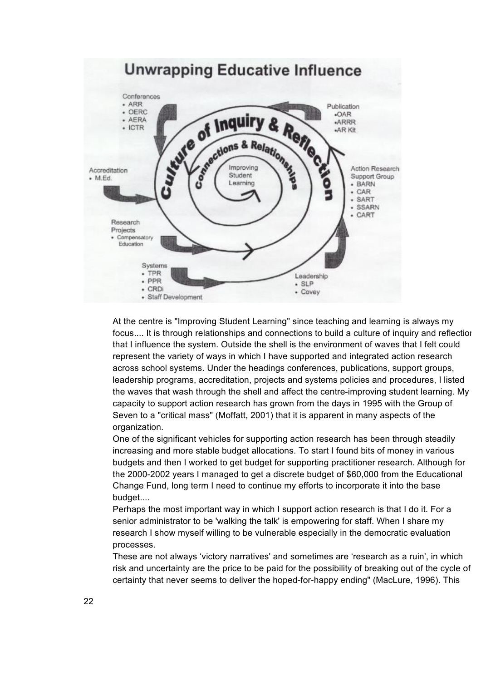

At the centre is "Improving Student Learning" since teaching and learning is always my focus.... It is through relationships and connections to build a culture of inquiry and reflection that I influence the system. Outside the shell is the environment of waves that I felt could represent the variety of ways in which I have supported and integrated action research across school systems. Under the headings conferences, publications, support groups, leadership programs, accreditation, projects and systems policies and procedures, I listed the waves that wash through the shell and affect the centre-improving student learning. My capacity to support action research has grown from the days in 1995 with the Group of Seven to a "critical mass" (Moffatt, 2001) that it is apparent in many aspects of the organization.

One of the significant vehicles for supporting action research has been through steadily increasing and more stable budget allocations. To start I found bits of money in various budgets and then I worked to get budget for supporting practitioner research. Although for the 2000-2002 years I managed to get a discrete budget of \$60,000 from the Educational Change Fund, long term I need to continue my efforts to incorporate it into the base budget....

Perhaps the most important way in which I support action research is that I do it. For a senior administrator to be 'walking the talk' is empowering for staff. When I share my research I show myself willing to be vulnerable especially in the democratic evaluation processes.

These are not always 'victory narratives' and sometimes are 'research as a ruin', in which risk and uncertainty are the price to be paid for the possibility of breaking out of the cycle of certainty that never seems to deliver the hoped-for-happy ending" (MacLure, 1996). This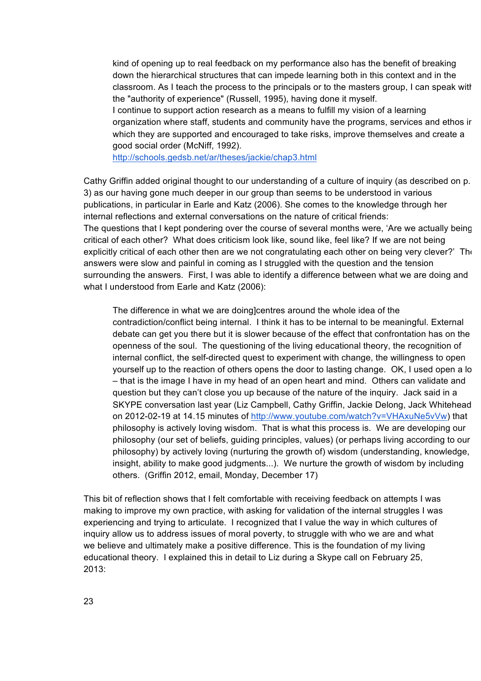kind of opening up to real feedback on my performance also has the benefit of breaking down the hierarchical structures that can impede learning both in this context and in the classroom. As I teach the process to the principals or to the masters group, I can speak with the "authority of experience" (Russell, 1995), having done it myself.

I continue to support action research as a means to fulfill my vision of a learning organization where staff, students and community have the programs, services and ethos in which they are supported and encouraged to take risks, improve themselves and create a good social order (McNiff, 1992).

http://schools.gedsb.net/ar/theses/jackie/chap3.html

Cathy Griffin added original thought to our understanding of a culture of inquiry (as described on p. 3) as our having gone much deeper in our group than seems to be understood in various publications, in particular in Earle and Katz (2006). She comes to the knowledge through her internal reflections and external conversations on the nature of critical friends: The questions that I kept pondering over the course of several months were, 'Are we actually being critical of each other? What does criticism look like, sound like, feel like? If we are not being explicitly critical of each other then are we not congratulating each other on being very clever?' The answers were slow and painful in coming as I struggled with the question and the tension surrounding the answers. First, I was able to identify a difference between what we are doing and what I understood from Earle and Katz (2006):

The difference in what we are doing]centres around the whole idea of the contradiction/conflict being internal. I think it has to be internal to be meaningful. External debate can get you there but it is slower because of the effect that confrontation has on the openness of the soul. The questioning of the living educational theory, the recognition of internal conflict, the self-directed quest to experiment with change, the willingness to open yourself up to the reaction of others opens the door to lasting change. OK, I used open a lo – that is the image I have in my head of an open heart and mind. Others can validate and question but they can't close you up because of the nature of the inquiry. Jack said in a SKYPE conversation last year (Liz Campbell, Cathy Griffin, Jackie Delong, Jack Whitehead on 2012-02-19 at 14.15 minutes of http://www.youtube.com/watch?v=VHAxuNe5vVw) that philosophy is actively loving wisdom. That is what this process is. We are developing our philosophy (our set of beliefs, guiding principles, values) (or perhaps living according to our philosophy) by actively loving (nurturing the growth of) wisdom (understanding, knowledge, insight, ability to make good judgments...). We nurture the growth of wisdom by including others. (Griffin 2012, email, Monday, December 17)

This bit of reflection shows that I felt comfortable with receiving feedback on attempts I was making to improve my own practice, with asking for validation of the internal struggles I was experiencing and trying to articulate. I recognized that I value the way in which cultures of inquiry allow us to address issues of moral poverty, to struggle with who we are and what we believe and ultimately make a positive difference. This is the foundation of my living educational theory. I explained this in detail to Liz during a Skype call on February 25, 2013: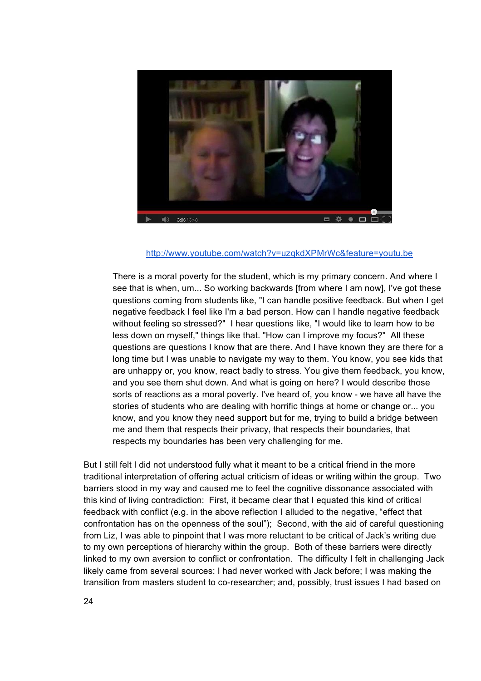

### http://www.youtube.com/watch?v=uzqkdXPMrWc&feature=youtu.be

There is a moral poverty for the student, which is my primary concern. And where I see that is when, um... So working backwards [from where I am now], I've got these questions coming from students like, "I can handle positive feedback. But when I get negative feedback I feel like I'm a bad person. How can I handle negative feedback without feeling so stressed?" I hear questions like, "I would like to learn how to be less down on myself," things like that. "How can I improve my focus?" All these questions are questions I know that are there. And I have known they are there for a long time but I was unable to navigate my way to them. You know, you see kids that are unhappy or, you know, react badly to stress. You give them feedback, you know, and you see them shut down. And what is going on here? I would describe those sorts of reactions as a moral poverty. I've heard of, you know - we have all have the stories of students who are dealing with horrific things at home or change or... you know, and you know they need support but for me, trying to build a bridge between me and them that respects their privacy, that respects their boundaries, that respects my boundaries has been very challenging for me.

But I still felt I did not understood fully what it meant to be a critical friend in the more traditional interpretation of offering actual criticism of ideas or writing within the group. Two barriers stood in my way and caused me to feel the cognitive dissonance associated with this kind of living contradiction: First, it became clear that I equated this kind of critical feedback with conflict (e.g. in the above reflection I alluded to the negative, "effect that confrontation has on the openness of the soul"); Second, with the aid of careful questioning from Liz, I was able to pinpoint that I was more reluctant to be critical of Jack's writing due to my own perceptions of hierarchy within the group. Both of these barriers were directly linked to my own aversion to conflict or confrontation. The difficulty I felt in challenging Jack likely came from several sources: I had never worked with Jack before; I was making the transition from masters student to co-researcher; and, possibly, trust issues I had based on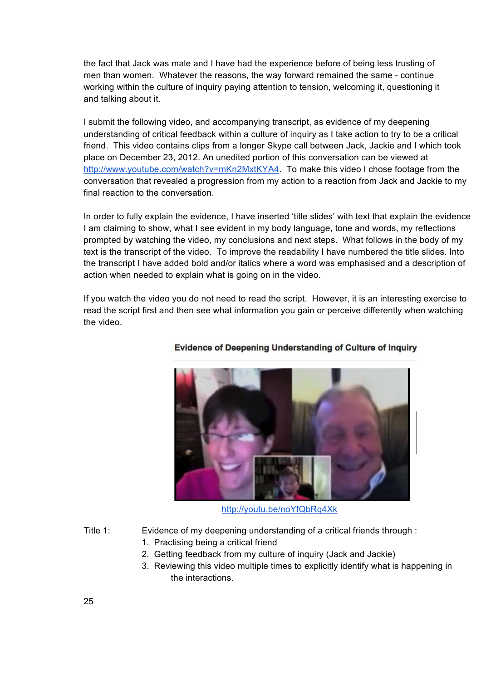the fact that Jack was male and I have had the experience before of being less trusting of men than women. Whatever the reasons, the way forward remained the same - continue working within the culture of inquiry paying attention to tension, welcoming it, questioning it and talking about it.

I submit the following video, and accompanying transcript, as evidence of my deepening understanding of critical feedback within a culture of inquiry as I take action to try to be a critical friend. This video contains clips from a longer Skype call between Jack, Jackie and I which took place on December 23, 2012. An unedited portion of this conversation can be viewed at http://www.youtube.com/watch?v=mKn2MxtKYA4. To make this video I chose footage from the conversation that revealed a progression from my action to a reaction from Jack and Jackie to my final reaction to the conversation.

In order to fully explain the evidence, I have inserted 'title slides' with text that explain the evidence I am claiming to show, what I see evident in my body language, tone and words, my reflections prompted by watching the video, my conclusions and next steps. What follows in the body of my text is the transcript of the video. To improve the readability I have numbered the title slides. Into the transcript I have added bold and/or italics where a word was emphasised and a description of action when needed to explain what is going on in the video.

If you watch the video you do not need to read the script. However, it is an interesting exercise to read the script first and then see what information you gain or perceive differently when watching the video.



### **Evidence of Deepening Understanding of Culture of Inquiry**

http://youtu.be/noYfQbRq4Xk

- Title 1: Evidence of my deepening understanding of a critical friends through :
	- 1. Practising being a critical friend
	- 2. Getting feedback from my culture of inquiry (Jack and Jackie)
	- 3. Reviewing this video multiple times to explicitly identify what is happening in the interactions.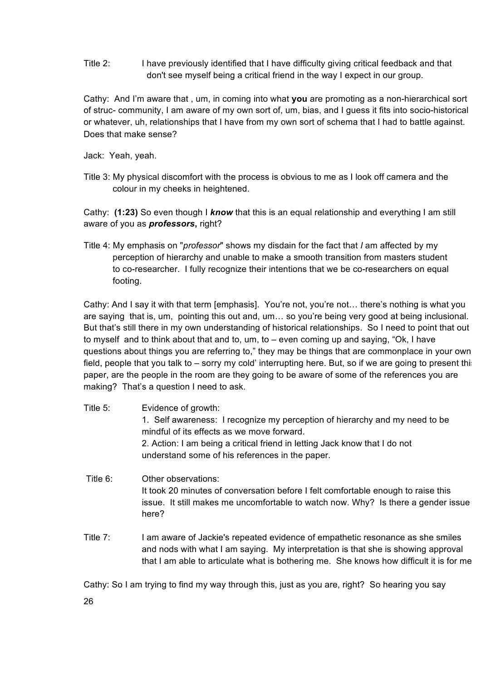Title 2: I have previously identified that I have difficulty giving critical feedback and that don't see myself being a critical friend in the way I expect in our group.

Cathy: And I'm aware that , um, in coming into what **you** are promoting as a non-hierarchical sort of struc- community, I am aware of my own sort of, um, bias, and I guess it fits into socio-historical or whatever, uh, relationships that I have from my own sort of schema that I had to battle against. Does that make sense?

Jack: Yeah, yeah.

Title 3: My physical discomfort with the process is obvious to me as I look off camera and the colour in my cheeks in heightened.

Cathy: **(1:23)** So even though I *know* that this is an equal relationship and everything I am still aware of you as *professors***,** right?

Title 4: My emphasis on "*professor*" shows my disdain for the fact that *I* am affected by my perception of hierarchy and unable to make a smooth transition from masters student to co-researcher. I fully recognize their intentions that we be co-researchers on equal footing.

Cathy: And I say it with that term [emphasis]. You're not, you're not… there's nothing is what you are saying that is, um, pointing this out and, um… so you're being very good at being inclusional. But that's still there in my own understanding of historical relationships. So I need to point that out to myself and to think about that and to, um, to – even coming up and saying, "Ok, I have questions about things you are referring to," they may be things that are commonplace in your own field, people that you talk to – sorry my cold' interrupting here. But, so if we are going to present this paper, are the people in the room are they going to be aware of some of the references you are making? That's a question I need to ask.

- Title 5: Evidence of growth: 1. Self awareness: I recognize my perception of hierarchy and my need to be mindful of its effects as we move forward. 2. Action: I am being a critical friend in letting Jack know that I do not understand some of his references in the paper.
- Title 6: Other observations: It took 20 minutes of conversation before I felt comfortable enough to raise this issue. It still makes me uncomfortable to watch now. Why? Is there a gender issue here?
- Title 7: I am aware of Jackie's repeated evidence of empathetic resonance as she smiles and nods with what I am saying. My interpretation is that she is showing approval that I am able to articulate what is bothering me. She knows how difficult it is for me.

Cathy: So I am trying to find my way through this, just as you are, right? So hearing you say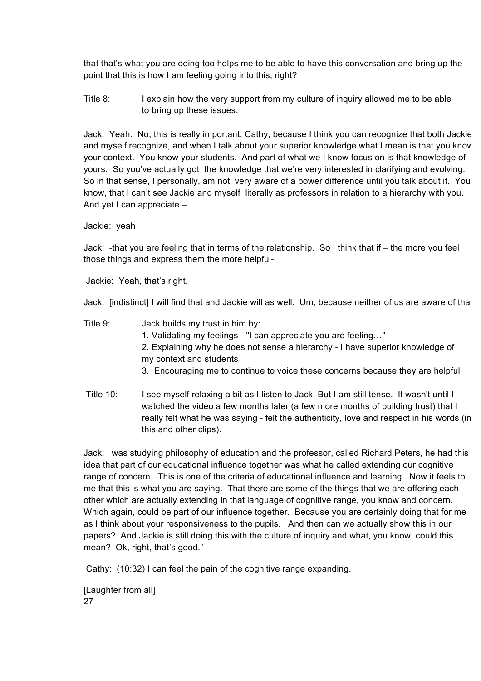that that's what you are doing too helps me to be able to have this conversation and bring up the point that this is how I am feeling going into this, right?

Title 8: I explain how the very support from my culture of inquiry allowed me to be able to bring up these issues.

Jack: Yeah. No, this is really important, Cathy, because I think you can recognize that both Jackie and myself recognize, and when I talk about your superior knowledge what I mean is that you know your context. You know your students. And part of what we I know focus on is that knowledge of yours. So you've actually got the knowledge that we're very interested in clarifying and evolving. So in that sense, I personally, am not very aware of a power difference until you talk about it. You know, that I can't see Jackie and myself literally as professors in relation to a hierarchy with you. And yet I can appreciate –

Jackie: yeah

Jack: -that you are feeling that in terms of the relationship. So I think that if – the more you feel those things and express them the more helpful-

Jackie: Yeah, that's right.

Jack: [indistinct] I will find that and Jackie will as well. Um, because neither of us are aware of that.

- Title 9: Jack builds my trust in him by: 1. Validating my feelings - "I can appreciate you are feeling…" 2. Explaining why he does not sense a hierarchy - I have superior knowledge of my context and students 3. Encouraging me to continue to voice these concerns because they are helpful
- Title 10: I see myself relaxing a bit as I listen to Jack. But I am still tense. It wasn't until I watched the video a few months later (a few more months of building trust) that I really felt what he was saying - felt the authenticity, love and respect in his words (in this and other clips).

Jack: I was studying philosophy of education and the professor, called Richard Peters, he had this idea that part of our educational influence together was what he called extending our cognitive range of concern. This is one of the criteria of educational influence and learning. Now it feels to me that this is what you are saying. That there are some of the things that we are offering each other which are actually extending in that language of cognitive range, you know and concern. Which again, could be part of our influence together. Because you are certainly doing that for me as I think about your responsiveness to the pupils. And then can we actually show this in our papers? And Jackie is still doing this with the culture of inquiry and what, you know, could this mean? Ok, right, that's good."

Cathy: (10:32) I can feel the pain of the cognitive range expanding.

27 [Laughter from all]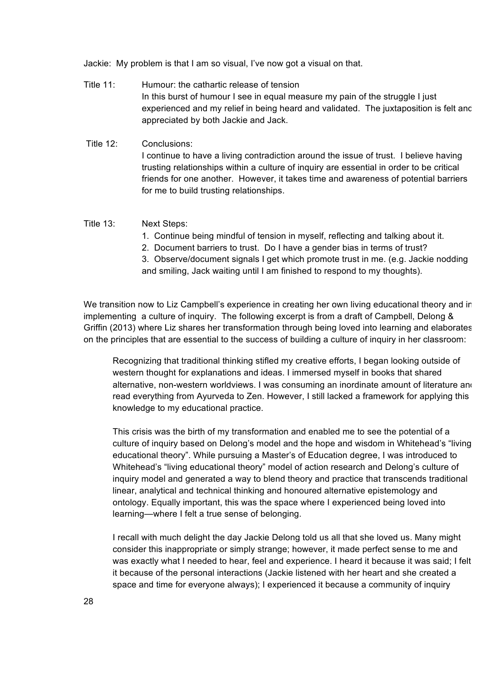Jackie: My problem is that I am so visual, I've now got a visual on that.

- Title 11: Humour: the cathartic release of tension In this burst of humour I see in equal measure my pain of the struggle I just experienced and my relief in being heard and validated. The juxtaposition is felt and appreciated by both Jackie and Jack.
- Title 12: Conclusions: I continue to have a living contradiction around the issue of trust. I believe having trusting relationships within a culture of inquiry are essential in order to be critical friends for one another. However, it takes time and awareness of potential barriers for me to build trusting relationships.

#### Title 13: Next Steps:

- 1. Continue being mindful of tension in myself, reflecting and talking about it.
- 2. Document barriers to trust. Do I have a gender bias in terms of trust?

3. Observe/document signals I get which promote trust in me. (e.g. Jackie nodding and smiling, Jack waiting until I am finished to respond to my thoughts).

We transition now to Liz Campbell's experience in creating her own living educational theory and in implementing a culture of inquiry. The following excerpt is from a draft of Campbell, Delong & Griffin (2013) where Liz shares her transformation through being loved into learning and elaborates on the principles that are essential to the success of building a culture of inquiry in her classroom:

Recognizing that traditional thinking stifled my creative efforts, I began looking outside of western thought for explanations and ideas. I immersed myself in books that shared alternative, non-western worldviews. I was consuming an inordinate amount of literature and read everything from Ayurveda to Zen. However, I still lacked a framework for applying this knowledge to my educational practice.

This crisis was the birth of my transformation and enabled me to see the potential of a culture of inquiry based on Delong's model and the hope and wisdom in Whitehead's "living educational theory". While pursuing a Master's of Education degree, I was introduced to Whitehead's "living educational theory" model of action research and Delong's culture of inquiry model and generated a way to blend theory and practice that transcends traditional linear, analytical and technical thinking and honoured alternative epistemology and ontology. Equally important, this was the space where I experienced being loved into learning—where I felt a true sense of belonging.

I recall with much delight the day Jackie Delong told us all that she loved us. Many might consider this inappropriate or simply strange; however, it made perfect sense to me and was exactly what I needed to hear, feel and experience. I heard it because it was said; I felt it because of the personal interactions (Jackie listened with her heart and she created a space and time for everyone always); I experienced it because a community of inquiry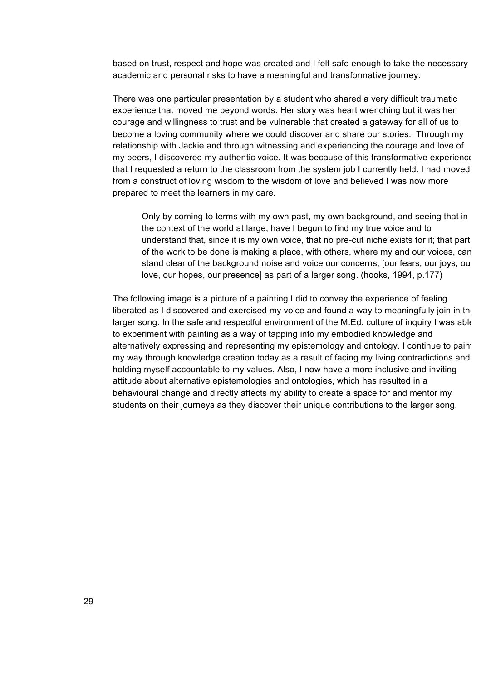based on trust, respect and hope was created and I felt safe enough to take the necessary academic and personal risks to have a meaningful and transformative journey.

There was one particular presentation by a student who shared a very difficult traumatic experience that moved me beyond words. Her story was heart wrenching but it was her courage and willingness to trust and be vulnerable that created a gateway for all of us to become a loving community where we could discover and share our stories. Through my relationship with Jackie and through witnessing and experiencing the courage and love of my peers, I discovered my authentic voice. It was because of this transformative experience that I requested a return to the classroom from the system job I currently held. I had moved from a construct of loving wisdom to the wisdom of love and believed I was now more prepared to meet the learners in my care.

Only by coming to terms with my own past, my own background, and seeing that in the context of the world at large, have I begun to find my true voice and to understand that, since it is my own voice, that no pre-cut niche exists for it; that part of the work to be done is making a place, with others, where my and our voices, can stand clear of the background noise and voice our concerns, [our fears, our joys, our love, our hopes, our presence] as part of a larger song. (hooks, 1994, p.177)

The following image is a picture of a painting I did to convey the experience of feeling liberated as I discovered and exercised my voice and found a way to meaningfully join in the larger song. In the safe and respectful environment of the M.Ed. culture of inquiry I was able to experiment with painting as a way of tapping into my embodied knowledge and alternatively expressing and representing my epistemology and ontology. I continue to paint my way through knowledge creation today as a result of facing my living contradictions and holding myself accountable to my values. Also, I now have a more inclusive and inviting attitude about alternative epistemologies and ontologies, which has resulted in a behavioural change and directly affects my ability to create a space for and mentor my students on their journeys as they discover their unique contributions to the larger song.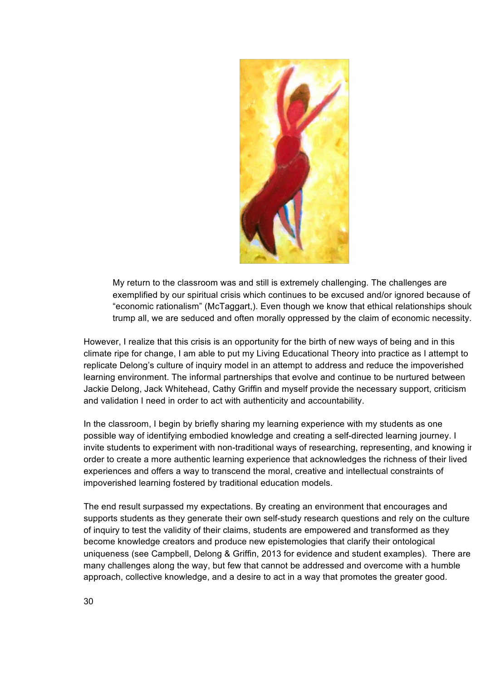

My return to the classroom was and still is extremely challenging. The challenges are exemplified by our spiritual crisis which continues to be excused and/or ignored because of "economic rationalism" (McTaggart,). Even though we know that ethical relationships should trump all, we are seduced and often morally oppressed by the claim of economic necessity.

However, I realize that this crisis is an opportunity for the birth of new ways of being and in this climate ripe for change, I am able to put my Living Educational Theory into practice as I attempt to replicate Delong's culture of inquiry model in an attempt to address and reduce the impoverished learning environment. The informal partnerships that evolve and continue to be nurtured between Jackie Delong, Jack Whitehead, Cathy Griffin and myself provide the necessary support, criticism and validation I need in order to act with authenticity and accountability.

In the classroom, I begin by briefly sharing my learning experience with my students as one possible way of identifying embodied knowledge and creating a self-directed learning journey. I invite students to experiment with non-traditional ways of researching, representing, and knowing ir order to create a more authentic learning experience that acknowledges the richness of their lived experiences and offers a way to transcend the moral, creative and intellectual constraints of impoverished learning fostered by traditional education models.

The end result surpassed my expectations. By creating an environment that encourages and supports students as they generate their own self-study research questions and rely on the culture of inquiry to test the validity of their claims, students are empowered and transformed as they become knowledge creators and produce new epistemologies that clarify their ontological uniqueness (see Campbell, Delong & Griffin, 2013 for evidence and student examples). There are many challenges along the way, but few that cannot be addressed and overcome with a humble approach, collective knowledge, and a desire to act in a way that promotes the greater good.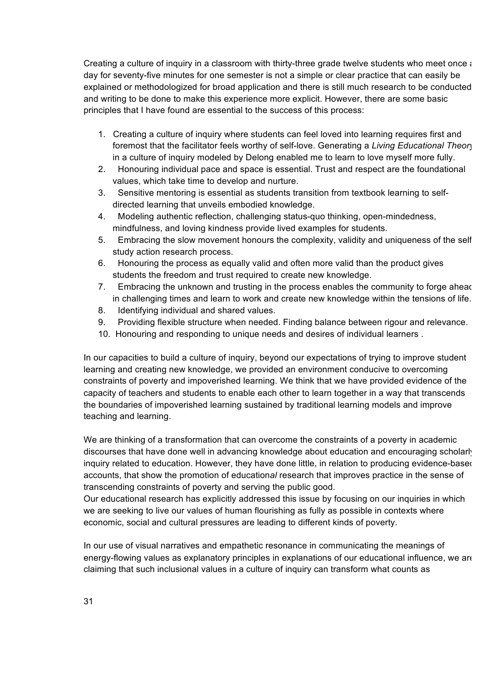Creating a culture of inquiry in a classroom with thirty-three grade twelve students who meet once a day for seventy-five minutes for one semester is not a simple or clear practice that can easily be explained or methodologized for broad application and there is still much research to be conducted and writing to be done to make this experience more explicit. However, there are some basic principles that I have found are essential to the success of this process:

- 1. Creating a culture of inquiry where students can feel loved into learning requires first and foremost that the facilitator feels worthy of self-love. Generating a *Living Educational Theory* in a culture of inquiry modeled by Delong enabled me to learn to love myself more fully.
- 2. Honouring individual pace and space is essential. Trust and respect are the foundational values, which take time to develop and nurture.
- 3. Sensitive mentoring is essential as students transition from textbook learning to selfdirected learning that unveils embodied knowledge.
- 4. Modeling authentic reflection, challenging status-quo thinking, open-mindedness, mindfulness, and loving kindness provide lived examples for students.
- 5. Embracing the slow movement honours the complexity, validity and uniqueness of the selfstudy action research process.
- 6. Honouring the process as equally valid and often more valid than the product gives students the freedom and trust required to create new knowledge.
- 7. Embracing the unknown and trusting in the process enables the community to forge ahead in challenging times and learn to work and create new knowledge within the tensions of life.
- 8. Identifying individual and shared values.
- 9. Providing flexible structure when needed. Finding balance between rigour and relevance.
- 10. Honouring and responding to unique needs and desires of individual learners .

In our capacities to build a culture of inquiry, beyond our expectations of trying to improve student learning and creating new knowledge, we provided an environment conducive to overcoming constraints of poverty and impoverished learning. We think that we have provided evidence of the capacity of teachers and students to enable each other to learn together in a way that transcends the boundaries of impoverished learning sustained by traditional learning models and improve teaching and learning.

We are thinking of a transformation that can overcome the constraints of a poverty in academic discourses that have done well in advancing knowledge about education and encouraging scholarly inquiry related to education. However, they have done little, in relation to producing evidence-based accounts, that show the promotion of education*al* research that improves practice in the sense of transcending constraints of poverty and serving the public good.

Our educational research has explicitly addressed this issue by focusing on our inquiries in which we are seeking to live our values of human flourishing as fully as possible in contexts where economic, social and cultural pressures are leading to different kinds of poverty.

In our use of visual narratives and empathetic resonance in communicating the meanings of energy-flowing values as explanatory principles in explanations of our educational influence, we are claiming that such inclusional values in a culture of inquiry can transform what counts as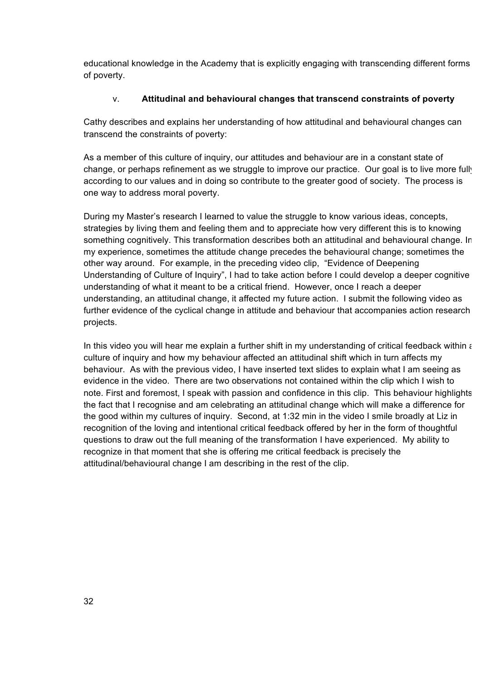educational knowledge in the Academy that is explicitly engaging with transcending different forms of poverty.

### v. **Attitudinal and behavioural changes that transcend constraints of poverty**

Cathy describes and explains her understanding of how attitudinal and behavioural changes can transcend the constraints of poverty:

As a member of this culture of inquiry, our attitudes and behaviour are in a constant state of change, or perhaps refinement as we struggle to improve our practice. Our goal is to live more fully according to our values and in doing so contribute to the greater good of society. The process is one way to address moral poverty.

During my Master's research I learned to value the struggle to know various ideas, concepts, strategies by living them and feeling them and to appreciate how very different this is to knowing something cognitively. This transformation describes both an attitudinal and behavioural change. In my experience, sometimes the attitude change precedes the behavioural change; sometimes the other way around. For example, in the preceding video clip, "Evidence of Deepening Understanding of Culture of Inquiry", I had to take action before I could develop a deeper cognitive understanding of what it meant to be a critical friend. However, once I reach a deeper understanding, an attitudinal change, it affected my future action. I submit the following video as further evidence of the cyclical change in attitude and behaviour that accompanies action research projects.

In this video you will hear me explain a further shift in my understanding of critical feedback within a culture of inquiry and how my behaviour affected an attitudinal shift which in turn affects my behaviour. As with the previous video, I have inserted text slides to explain what I am seeing as evidence in the video. There are two observations not contained within the clip which I wish to note. First and foremost, I speak with passion and confidence in this clip. This behaviour highlights the fact that I recognise and am celebrating an attitudinal change which will make a difference for the good within my cultures of inquiry. Second, at 1:32 min in the video I smile broadly at Liz in recognition of the loving and intentional critical feedback offered by her in the form of thoughtful questions to draw out the full meaning of the transformation I have experienced. My ability to recognize in that moment that she is offering me critical feedback is precisely the attitudinal/behavioural change I am describing in the rest of the clip.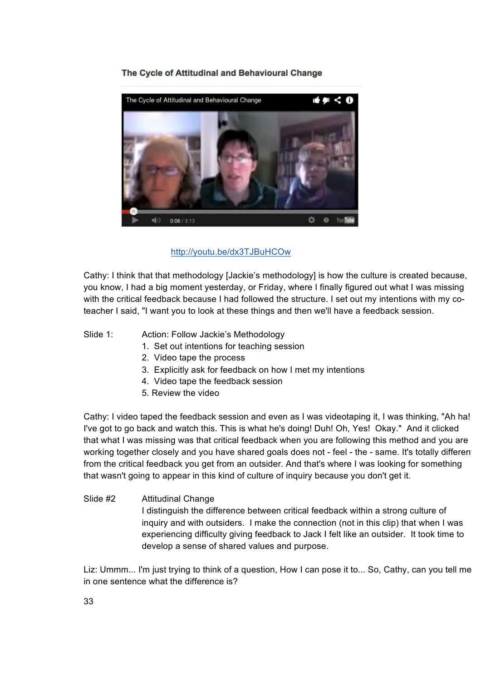# The Cycle of Attitudinal and Behavioural Change



#### http://youtu.be/dx3TJBuHCOw

Cathy: I think that that methodology [Jackie's methodology] is how the culture is created because, you know, I had a big moment yesterday, or Friday, where I finally figured out what I was missing with the critical feedback because I had followed the structure. I set out my intentions with my coteacher I said, "I want you to look at these things and then we'll have a feedback session.

- Slide 1: Action: Follow Jackie's Methodology
	- 1. Set out intentions for teaching session
	- 2. Video tape the process
	- 3. Explicitly ask for feedback on how I met my intentions
	- 4. Video tape the feedback session
	- 5. Review the video

Cathy: I video taped the feedback session and even as I was videotaping it, I was thinking, "Ah ha! I've got to go back and watch this. This is what he's doing! Duh! Oh, Yes! Okay." And it clicked that what I was missing was that critical feedback when you are following this method and you are working together closely and you have shared goals does not - feel - the - same. It's totally different from the critical feedback you get from an outsider. And that's where I was looking for something that wasn't going to appear in this kind of culture of inquiry because you don't get it.

### Slide #2 Attitudinal Change I distinguish the difference between critical feedback within a strong culture of inquiry and with outsiders. I make the connection (not in this clip) that when I was experiencing difficulty giving feedback to Jack I felt like an outsider. It took time to develop a sense of shared values and purpose.

Liz: Ummm... I'm just trying to think of a question, How I can pose it to... So, Cathy, can you tell me in one sentence what the difference is?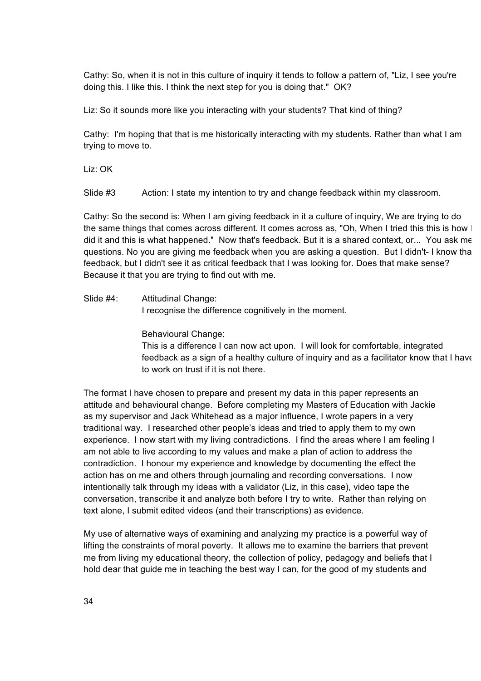Cathy: So, when it is not in this culture of inquiry it tends to follow a pattern of, "Liz, I see you're doing this. I like this. I think the next step for you is doing that." OK?

Liz: So it sounds more like you interacting with your students? That kind of thing?

Cathy: I'm hoping that that is me historically interacting with my students. Rather than what I am trying to move to.

Liz: OK

Slide #3 Action: I state my intention to try and change feedback within my classroom.

Cathy: So the second is: When I am giving feedback in it a culture of inquiry, We are trying to do the same things that comes across different. It comes across as, "Oh, When I tried this this is how | did it and this is what happened." Now that's feedback. But it is a shared context, or... You ask me questions. No you are giving me feedback when you are asking a question. But I didn't- I know that feedback, but I didn't see it as critical feedback that I was looking for. Does that make sense? Because it that you are trying to find out with me.

Slide #4: Attitudinal Change:

I recognise the difference cognitively in the moment.

Behavioural Change:

This is a difference I can now act upon. I will look for comfortable, integrated feedback as a sign of a healthy culture of inquiry and as a facilitator know that I have to work on trust if it is not there.

The format I have chosen to prepare and present my data in this paper represents an attitude and behavioural change. Before completing my Masters of Education with Jackie as my supervisor and Jack Whitehead as a major influence, I wrote papers in a very traditional way. I researched other people's ideas and tried to apply them to my own experience. I now start with my living contradictions. I find the areas where I am feeling I am not able to live according to my values and make a plan of action to address the contradiction. I honour my experience and knowledge by documenting the effect the action has on me and others through journaling and recording conversations. I now intentionally talk through my ideas with a validator (Liz, in this case), video tape the conversation, transcribe it and analyze both before I try to write. Rather than relying on text alone, I submit edited videos (and their transcriptions) as evidence.

My use of alternative ways of examining and analyzing my practice is a powerful way of lifting the constraints of moral poverty. It allows me to examine the barriers that prevent me from living my educational theory, the collection of policy, pedagogy and beliefs that I hold dear that guide me in teaching the best way I can, for the good of my students and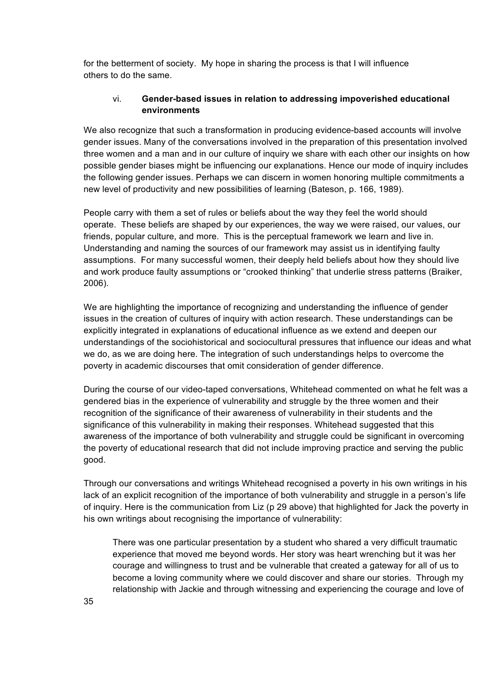for the betterment of society. My hope in sharing the process is that I will influence others to do the same.

### vi. **Gender-based issues in relation to addressing impoverished educational environments**

We also recognize that such a transformation in producing evidence-based accounts will involve gender issues. Many of the conversations involved in the preparation of this presentation involved three women and a man and in our culture of inquiry we share with each other our insights on how possible gender biases might be influencing our explanations. Hence our mode of inquiry includes the following gender issues. Perhaps we can discern in women honoring multiple commitments a new level of productivity and new possibilities of learning (Bateson, p. 166, 1989).

People carry with them a set of rules or beliefs about the way they feel the world should operate. These beliefs are shaped by our experiences, the way we were raised, our values, our friends, popular culture, and more. This is the perceptual framework we learn and live in. Understanding and naming the sources of our framework may assist us in identifying faulty assumptions. For many successful women, their deeply held beliefs about how they should live and work produce faulty assumptions or "crooked thinking" that underlie stress patterns (Braiker, 2006).

We are highlighting the importance of recognizing and understanding the influence of gender issues in the creation of cultures of inquiry with action research. These understandings can be explicitly integrated in explanations of educational influence as we extend and deepen our understandings of the sociohistorical and sociocultural pressures that influence our ideas and what we do, as we are doing here. The integration of such understandings helps to overcome the poverty in academic discourses that omit consideration of gender difference.

During the course of our video-taped conversations, Whitehead commented on what he felt was a gendered bias in the experience of vulnerability and struggle by the three women and their recognition of the significance of their awareness of vulnerability in their students and the significance of this vulnerability in making their responses. Whitehead suggested that this awareness of the importance of both vulnerability and struggle could be significant in overcoming the poverty of educational research that did not include improving practice and serving the public good.

Through our conversations and writings Whitehead recognised a poverty in his own writings in his lack of an explicit recognition of the importance of both vulnerability and struggle in a person's life of inquiry. Here is the communication from Liz (p 29 above) that highlighted for Jack the poverty in his own writings about recognising the importance of vulnerability:

There was one particular presentation by a student who shared a very difficult traumatic experience that moved me beyond words. Her story was heart wrenching but it was her courage and willingness to trust and be vulnerable that created a gateway for all of us to become a loving community where we could discover and share our stories. Through my relationship with Jackie and through witnessing and experiencing the courage and love of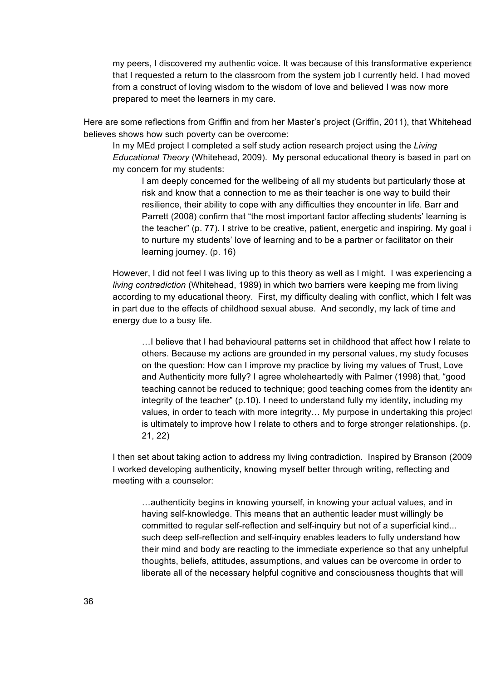my peers, I discovered my authentic voice. It was because of this transformative experience that I requested a return to the classroom from the system job I currently held. I had moved from a construct of loving wisdom to the wisdom of love and believed I was now more prepared to meet the learners in my care.

Here are some reflections from Griffin and from her Master's project (Griffin, 2011), that Whitehead believes shows how such poverty can be overcome:

In my MEd project I completed a self study action research project using the *Living Educational Theory* (Whitehead, 2009). My personal educational theory is based in part on my concern for my students:

I am deeply concerned for the wellbeing of all my students but particularly those at risk and know that a connection to me as their teacher is one way to build their resilience, their ability to cope with any difficulties they encounter in life. Barr and Parrett (2008) confirm that "the most important factor affecting students' learning is the teacher" (p. 77). I strive to be creative, patient, energetic and inspiring. My goal is to nurture my students' love of learning and to be a partner or facilitator on their learning journey. (p. 16)

However, I did not feel I was living up to this theory as well as I might. I was experiencing a *living contradiction* (Whitehead, 1989) in which two barriers were keeping me from living according to my educational theory. First, my difficulty dealing with conflict, which I felt was in part due to the effects of childhood sexual abuse. And secondly, my lack of time and energy due to a busy life.

…I believe that I had behavioural patterns set in childhood that affect how I relate to others. Because my actions are grounded in my personal values, my study focuses on the question: How can I improve my practice by living my values of Trust, Love and Authenticity more fully? I agree wholeheartedly with Palmer (1998) that, "good teaching cannot be reduced to technique; good teaching comes from the identity and integrity of the teacher" (p.10). I need to understand fully my identity, including my values, in order to teach with more integrity... My purpose in undertaking this project is ultimately to improve how I relate to others and to forge stronger relationships. (p. 21, 22)

I then set about taking action to address my living contradiction. Inspired by Branson (2009) I worked developing authenticity, knowing myself better through writing, reflecting and meeting with a counselor:

…authenticity begins in knowing yourself, in knowing your actual values, and in having self-knowledge. This means that an authentic leader must willingly be committed to regular self-reflection and self-inquiry but not of a superficial kind... such deep self-reflection and self-inquiry enables leaders to fully understand how their mind and body are reacting to the immediate experience so that any unhelpful thoughts, beliefs, attitudes, assumptions, and values can be overcome in order to liberate all of the necessary helpful cognitive and consciousness thoughts that will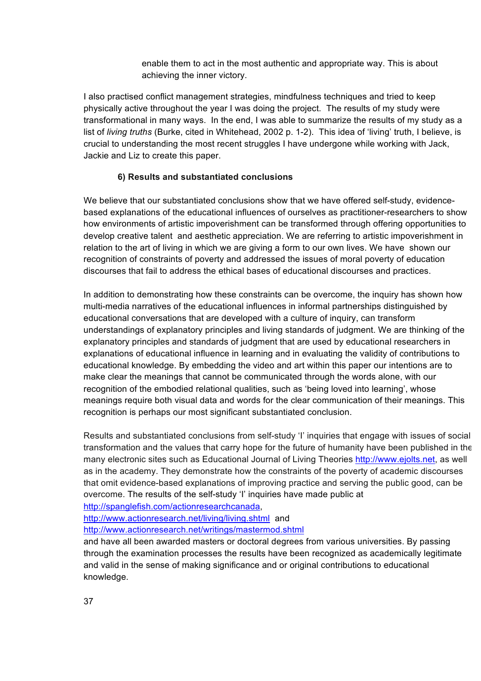enable them to act in the most authentic and appropriate way. This is about achieving the inner victory.

I also practised conflict management strategies, mindfulness techniques and tried to keep physically active throughout the year I was doing the project. The results of my study were transformational in many ways. In the end, I was able to summarize the results of my study as a list of *living truths* (Burke, cited in Whitehead, 2002 p. 1-2). This idea of 'living' truth, I believe, is crucial to understanding the most recent struggles I have undergone while working with Jack, Jackie and Liz to create this paper.

### **6) Results and substantiated conclusions**

We believe that our substantiated conclusions show that we have offered self-study, evidencebased explanations of the educational influences of ourselves as practitioner-researchers to show how environments of artistic impoverishment can be transformed through offering opportunities to develop creative talent and aesthetic appreciation. We are referring to artistic impoverishment in relation to the art of living in which we are giving a form to our own lives. We have shown our recognition of constraints of poverty and addressed the issues of moral poverty of education discourses that fail to address the ethical bases of educational discourses and practices.

In addition to demonstrating how these constraints can be overcome, the inquiry has shown how multi-media narratives of the educational influences in informal partnerships distinguished by educational conversations that are developed with a culture of inquiry, can transform understandings of explanatory principles and living standards of judgment. We are thinking of the explanatory principles and standards of judgment that are used by educational researchers in explanations of educational influence in learning and in evaluating the validity of contributions to educational knowledge. By embedding the video and art within this paper our intentions are to make clear the meanings that cannot be communicated through the words alone, with our recognition of the embodied relational qualities, such as 'being loved into learning', whose meanings require both visual data and words for the clear communication of their meanings. This recognition is perhaps our most significant substantiated conclusion.

Results and substantiated conclusions from self-study 'I' inquiries that engage with issues of social transformation and the values that carry hope for the future of humanity have been published in the many electronic sites such as Educational Journal of Living Theories http://www.ejolts.net, as well as in the academy. They demonstrate how the constraints of the poverty of academic discourses that omit evidence-based explanations of improving practice and serving the public good, can be overcome. The results of the self-study 'I' inquiries have made public at

http://spanglefish.com/actionresearchcanada,

http://www.actionresearch.net/living/living.shtml and

http://www.actionresearch.net/writings/mastermod.shtml

and have all been awarded masters or doctoral degrees from various universities. By passing through the examination processes the results have been recognized as academically legitimate and valid in the sense of making significance and or original contributions to educational knowledge.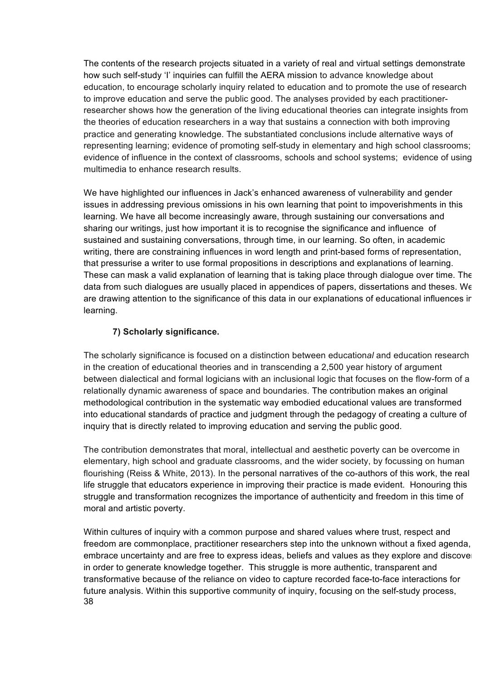The contents of the research projects situated in a variety of real and virtual settings demonstrate how such self-study 'I' inquiries can fulfill the AERA mission to advance knowledge about education, to encourage scholarly inquiry related to education and to promote the use of research to improve education and serve the public good. The analyses provided by each practitionerresearcher shows how the generation of the living educational theories can integrate insights from the theories of education researchers in a way that sustains a connection with both improving practice and generating knowledge. The substantiated conclusions include alternative ways of representing learning; evidence of promoting self-study in elementary and high school classrooms; evidence of influence in the context of classrooms, schools and school systems; evidence of using multimedia to enhance research results.

We have highlighted our influences in Jack's enhanced awareness of vulnerability and gender issues in addressing previous omissions in his own learning that point to impoverishments in this learning. We have all become increasingly aware, through sustaining our conversations and sharing our writings, just how important it is to recognise the significance and influence of sustained and sustaining conversations, through time, in our learning. So often, in academic writing, there are constraining influences in word length and print-based forms of representation, that pressurise a writer to use formal propositions in descriptions and explanations of learning. These can mask a valid explanation of learning that is taking place through dialogue over time. The data from such dialogues are usually placed in appendices of papers, dissertations and theses. We are drawing attention to the significance of this data in our explanations of educational influences in learning.

### **7) Scholarly significance.**

The scholarly significance is focused on a distinction between education*al* and education research in the creation of educational theories and in transcending a 2,500 year history of argument between dialectical and formal logicians with an inclusional logic that focuses on the flow-form of a relationally dynamic awareness of space and boundaries. The contribution makes an original methodological contribution in the systematic way embodied educational values are transformed into educational standards of practice and judgment through the pedagogy of creating a culture of inquiry that is directly related to improving education and serving the public good.

The contribution demonstrates that moral, intellectual and aesthetic poverty can be overcome in elementary, high school and graduate classrooms, and the wider society, by focussing on human flourishing (Reiss & White, 2013). In the personal narratives of the co-authors of this work, the real life struggle that educators experience in improving their practice is made evident. Honouring this struggle and transformation recognizes the importance of authenticity and freedom in this time of moral and artistic poverty.

38 Within cultures of inquiry with a common purpose and shared values where trust, respect and freedom are commonplace, practitioner researchers step into the unknown without a fixed agenda, embrace uncertainty and are free to express ideas, beliefs and values as they explore and discover in order to generate knowledge together. This struggle is more authentic, transparent and transformative because of the reliance on video to capture recorded face-to-face interactions for future analysis. Within this supportive community of inquiry, focusing on the self-study process,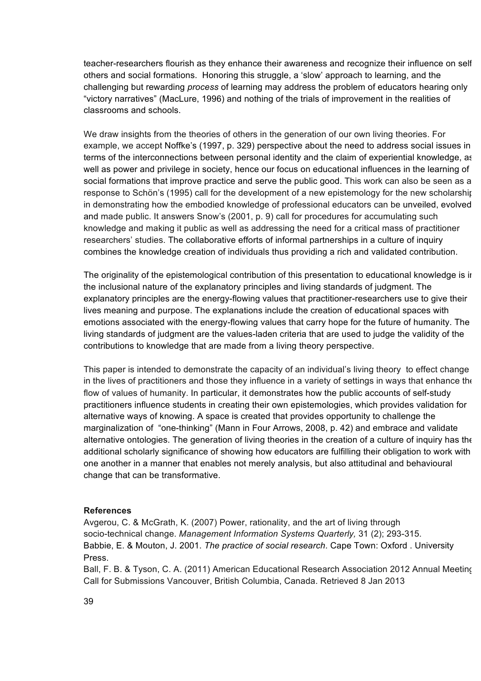teacher-researchers flourish as they enhance their awareness and recognize their influence on self, others and social formations. Honoring this struggle, a 'slow' approach to learning, and the challenging but rewarding *process* of learning may address the problem of educators hearing only "victory narratives" (MacLure, 1996) and nothing of the trials of improvement in the realities of classrooms and schools.

We draw insights from the theories of others in the generation of our own living theories. For example, we accept Noffke's (1997, p. 329) perspective about the need to address social issues in terms of the interconnections between personal identity and the claim of experiential knowledge, as well as power and privilege in society, hence our focus on educational influences in the learning of social formations that improve practice and serve the public good. This work can also be seen as a response to Schön's (1995) call for the development of a new epistemology for the new scholarship in demonstrating how the embodied knowledge of professional educators can be unveiled, evolved and made public. It answers Snow's (2001, p. 9) call for procedures for accumulating such knowledge and making it public as well as addressing the need for a critical mass of practitioner researchers' studies. The collaborative efforts of informal partnerships in a culture of inquiry combines the knowledge creation of individuals thus providing a rich and validated contribution.

The originality of the epistemological contribution of this presentation to educational knowledge is in the inclusional nature of the explanatory principles and living standards of judgment. The explanatory principles are the energy-flowing values that practitioner-researchers use to give their lives meaning and purpose. The explanations include the creation of educational spaces with emotions associated with the energy-flowing values that carry hope for the future of humanity. The living standards of judgment are the values-laden criteria that are used to judge the validity of the contributions to knowledge that are made from a living theory perspective.

This paper is intended to demonstrate the capacity of an individual's living theory to effect change in the lives of practitioners and those they influence in a variety of settings in ways that enhance the flow of values of humanity. In particular, it demonstrates how the public accounts of self-study practitioners influence students in creating their own epistemologies, which provides validation for alternative ways of knowing. A space is created that provides opportunity to challenge the marginalization of "one-thinking" (Mann in Four Arrows, 2008, p. 42) and embrace and validate alternative ontologies. The generation of living theories in the creation of a culture of inquiry has the additional scholarly significance of showing how educators are fulfilling their obligation to work with one another in a manner that enables not merely analysis, but also attitudinal and behavioural change that can be transformative.

#### **References**

Avgerou, C. & McGrath, K. (2007) Power, rationality, and the art of living through socio-technical change. *Management Information Systems Quarterly,* 31 (2); 293-315. Babbie, E. & Mouton, J. 2001. *The practice of social research*. Cape Town: Oxford . University Press.

Ball, F. B. & Tyson, C. A. (2011) American Educational Research Association 2012 Annual Meeting Call for Submissions Vancouver, British Columbia, Canada. Retrieved 8 Jan 2013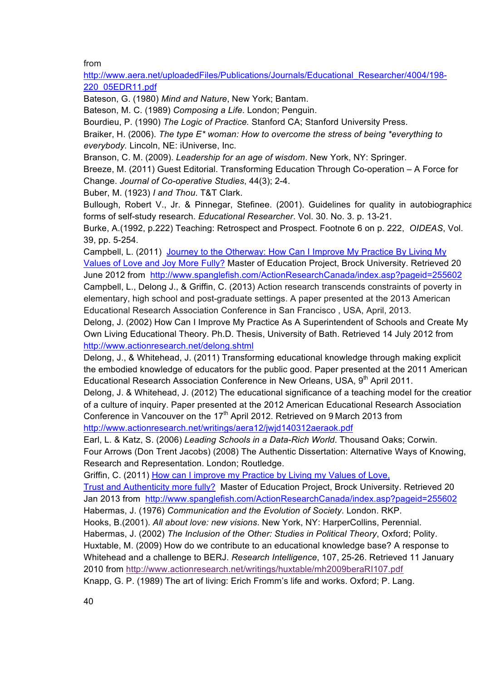from

http://www.aera.net/uploadedFiles/Publications/Journals/Educational\_Researcher/4004/198-220\_05EDR11.pdf

Bateson, G. (1980) *Mind and Nature*, New York; Bantam.

Bateson, M. C. (1989) *Composing a Life*. London; Penguin.

Bourdieu, P. (1990) *The Logic of Practice.* Stanford CA; Stanford University Press.

Braiker, H. (2006). *The type E\* woman: How to overcome the stress of being \*everything to everybody.* Lincoln, NE: iUniverse, Inc.

Branson, C. M. (2009). *Leadership for an age of wisdom*. New York, NY: Springer.

Breeze, M. (2011) Guest Editorial. Transforming Education Through Co-operation – A Force for Change. *Journal of Co-operative Studies*, 44(3); 2-4.

Buber, M. (1923) *I and Thou*. T&T Clark.

Bullough, Robert V., Jr. & Pinnegar, Stefinee. (2001). Guidelines for quality in autobiographical forms of self-study research. *Educational Researcher*. Vol. 30. No. 3. p. 13-21.

Burke, A.(1992, p.222) Teaching: Retrospect and Prospect. Footnote 6 on p. 222, *OIDEAS*, Vol. 39, pp. 5-254.

Campbell, L. (2011) Journey to the Otherway: How Can I Improve My Practice By Living My Values of Love and Joy More Fully? Master of Education Project, Brock University. Retrieved 20 June 2012 from http://www.spanglefish.com/ActionResearchCanada/index.asp?pageid=255602 Campbell, L., Delong J., & Griffin, C. (2013) Action research transcends constraints of poverty in elementary, high school and post-graduate settings. A paper presented at the 2013 American Educational Research Association Conference in San Francisco , USA, April, 2013.

Delong, J. (2002) How Can I Improve My Practice As A Superintendent of Schools and Create My Own Living Educational Theory. Ph.D. Thesis, University of Bath. Retrieved 14 July 2012 from http://www.actionresearch.net/delong.shtml

Delong, J., & Whitehead, J. (2011) Transforming educational knowledge through making explicit the embodied knowledge of educators for the public good. Paper presented at the 2011 American Educational Research Association Conference in New Orleans, USA, 9<sup>th</sup> April 2011.

Delong, J. & Whitehead, J. (2012) The educational significance of a teaching model for the creation of a culture of inquiry. Paper presented at the 2012 American Educational Research Association Conference in Vancouver on the 17<sup>th</sup> April 2012. Retrieved on 9 March 2013 from http://www.actionresearch.net/writings/aera12/jwjd140312aeraok.pdf

Earl, L. & Katz, S. (2006) *Leading Schools in a Data-Rich World*. Thousand Oaks; Corwin. Four Arrows (Don Trent Jacobs) (2008) The Authentic Dissertation: Alternative Ways of Knowing, Research and Representation. London; Routledge.

Griffin, C. (2011) How can I improve my Practice by Living my Values of Love,

Trust and Authenticity more fully? Master of Education Project, Brock University. Retrieved 20 Jan 2013 from http://www.spanglefish.com/ActionResearchCanada/index.asp?pageid=255602 Habermas, J. (1976) *Communication and the Evolution of Society*. London. RKP.

Hooks, B.(2001). *All about love: new visions*. New York, NY: HarperCollins, Perennial.

Habermas, J. (2002) *The Inclusion of the Other: Studies in Political Theory*, Oxford; Polity. Huxtable, M. (2009) How do we contribute to an educational knowledge base? A response to Whitehead and a challenge to BERJ. *Research Intelligence*, 107, 25-26. Retrieved 11 January 2010 from http://www.actionresearch.net/writings/huxtable/mh2009beraRI107.pdf Knapp, G. P. (1989) The art of living: Erich Fromm's life and works. Oxford; P. Lang.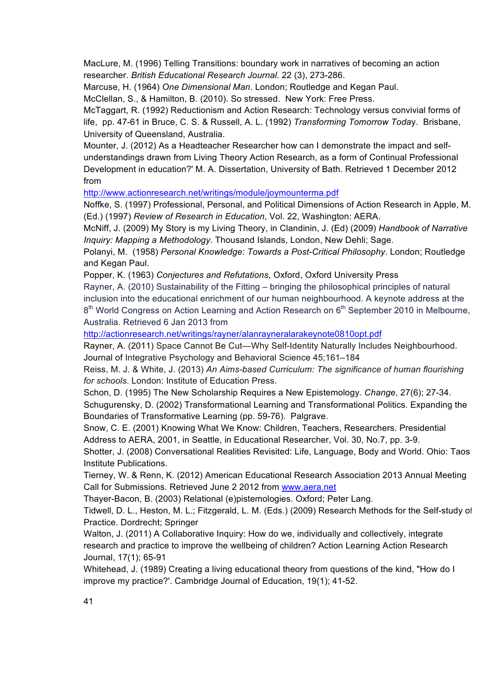MacLure, M. (1996) Telling Transitions: boundary work in narratives of becoming an action researcher. *British Educational Research Journal*. 22 (3), 273-286.

Marcuse, H. (1964) *One Dimensional Man*. London; Routledge and Kegan Paul.

McClellan, S., & Hamilton, B. (2010). So stressed. New York: Free Press.

McTaggart, R. (1992) Reductionism and Action Research: Technology versus convivial forms of life, pp. 47-61 in Bruce, C. S. & Russell, A. L. (1992) *Transforming Tomorrow Toda*y. Brisbane, University of Queensland, Australia.

Mounter, J. (2012) As a Headteacher Researcher how can I demonstrate the impact and selfunderstandings drawn from Living Theory Action Research, as a form of Continual Professional Development in education?' M. A. Dissertation, University of Bath. Retrieved 1 December 2012 from

http://www.actionresearch.net/writings/module/joymounterma.pdf

Noffke, S. (1997) Professional, Personal, and Political Dimensions of Action Research in Apple, M. (Ed.) (1997) *Review of Research in Education*, Vol. 22, Washington: AERA.

McNiff, J. (2009) My Story is my Living Theory, in Clandinin, J. (Ed) (2009) *Handbook of Narrative Inquiry: Mapping a Methodology*. Thousand Islands, London, New Dehli; Sage.

Polanyi, M. (1958) *Personal Knowledge: Towards a Post-Critical Philosophy*. London; Routledge and Kegan Paul.

Popper, K. (1963) *Conjectures and Refutations*, Oxford, Oxford University Press

Rayner, A. (2010) Sustainability of the Fitting – bringing the philosophical principles of natural inclusion into the educational enrichment of our human neighbourhood. A keynote address at the  $8<sup>th</sup>$  World Congress on Action Learning and Action Research on  $6<sup>th</sup>$  September 2010 in Melbourne, Australia. Retrieved 6 Jan 2013 from

http://actionresearch.net/writings/rayner/alanrayneralarakeynote0810opt.pdf

Rayner, A. (2011) Space Cannot Be Cut—Why Self-Identity Naturally Includes Neighbourhood. Journal of Integrative Psychology and Behavioral Science 45;161–184

Reiss, M. J. & White, J. (2013) *An Aims-based Curriculum: The significance of human flourishing for schools*. London: Institute of Education Press.

Schon, D. (1995) The New Scholarship Requires a New Epistemology. *Change*, 27(6); 27-34. Schugurensky, D. (2002) Transformational Learning and Transformational Politics. Expanding the Boundaries of Transformative Learning (pp. 59-76). Palgrave.

Snow, C. E. (2001) Knowing What We Know: Children, Teachers, Researchers. Presidential Address to AERA, 2001, in Seattle, in Educational Researcher, Vol. 30, No.7, pp. 3-9.

Shotter, J. (2008) Conversational Realities Revisited: Life, Language, Body and World. Ohio: Taos Institute Publications.

Tierney, W. & Renn, K. (2012) American Educational Research Association 2013 Annual Meeting Call for Submissions. Retrieved June 2 2012 from www.aera.net

Thayer-Bacon, B. (2003) Relational (e)pistemologies. Oxford; Peter Lang.

Tidwell, D. L., Heston, M. L.; Fitzgerald, L. M. (Eds.) (2009) Research Methods for the Self-study of Practice. Dordrecht; Springer

Walton, J. (2011) A Collaborative Inquiry: How do we, individually and collectively, integrate research and practice to improve the wellbeing of children? Action Learning Action Research Journal, 17(1); 65-91

Whitehead, J. (1989) Creating a living educational theory from questions of the kind, "How do I improve my practice?'. Cambridge Journal of Education, 19(1); 41-52.